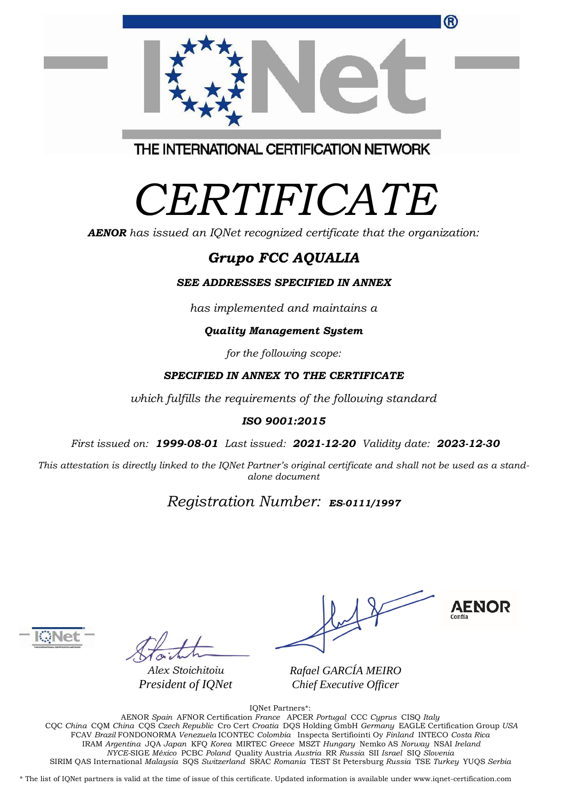|                                         | <sup>(R)</sup> |
|-----------------------------------------|----------------|
|                                         |                |
| THE INTERNATIONAL CERTIFICATION NETWORK |                |

*CERTIFICATE*

*AENOR has issued an IQNet recognized certificate that the organization:*

# *Grupo FCC AQUALIA*

#### *SEE ADDRESSES SPECIFIED IN ANNEX*

*has implemented and maintains a*

#### *Quality Management System*

*for the following scope:* 

### *SPECIFIED IN ANNEX TO THE CERTIFICATE*

*which fulfills the requirements of the following standard*

### *ISO 9001:2015*

*First issued on: 1999-08-01 Last issued: 2021-12-20 Validity date: 2023-12-30*

This attestation is directly linked to the IQNet Partner's original certificate and shall not be used as a stand*alone document*

## *Registration Number: ES-0111/1997*

*Alex Stoichitoiu President of IQNet*



*Rafael GARCÍA MEIRO Chief Executive Officer*

IQNet Partners\*:

AENOR *Spain* AFNOR Certification *France* APCER *Portugal* CCC *Cyprus* CISQ *Italy* CQC *China* CQM *China* CQS *Czech Republic* Cro Cert *Croatia* DQS Holding GmbH *Germany* EAGLE Certification Group *USA* FCAV *Brazil* FONDONORMA *Venezuela* ICONTEC *Colombia* Inspecta Sertifiointi Oy *Finland* INTECO *Costa Rica* IRAM *Argentina* JQA *Japan* KFQ *Korea* MIRTEC *Greece* MSZT *Hungary* Nemko AS *Norway* NSAI *Ireland NYCE-*SIGE *México* PCBC *Poland* Quality Austria *Austria* RR *Russia* SII *Israel* SIQ *Slovenia*  SIRIM QAS International *Malaysia* SQS *Switzerland* SRAC *Romania* TEST St Petersburg *Russia* TSE *Turkey* YUQS *Serbia*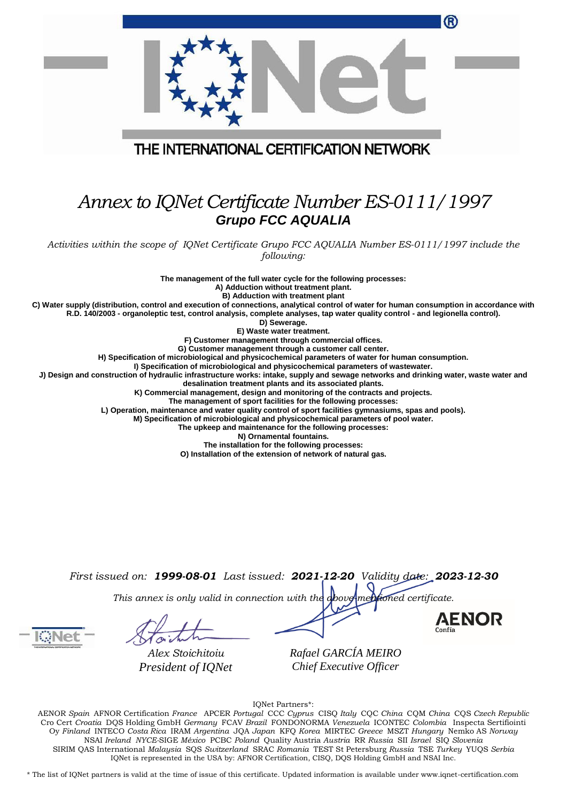|                                                                                                                                                                                                                                                                                                                                                                                                                                                                                                                                                                                                                                                                                                                                                                                                                                                                                                                                                                                                                                                                                                                                                                                                                                                                                                                                                                                                                                                                                                                                                     | ®                      |
|-----------------------------------------------------------------------------------------------------------------------------------------------------------------------------------------------------------------------------------------------------------------------------------------------------------------------------------------------------------------------------------------------------------------------------------------------------------------------------------------------------------------------------------------------------------------------------------------------------------------------------------------------------------------------------------------------------------------------------------------------------------------------------------------------------------------------------------------------------------------------------------------------------------------------------------------------------------------------------------------------------------------------------------------------------------------------------------------------------------------------------------------------------------------------------------------------------------------------------------------------------------------------------------------------------------------------------------------------------------------------------------------------------------------------------------------------------------------------------------------------------------------------------------------------------|------------------------|
|                                                                                                                                                                                                                                                                                                                                                                                                                                                                                                                                                                                                                                                                                                                                                                                                                                                                                                                                                                                                                                                                                                                                                                                                                                                                                                                                                                                                                                                                                                                                                     |                        |
| THE INTERNATIONAL CERTIFICATION NETWORK                                                                                                                                                                                                                                                                                                                                                                                                                                                                                                                                                                                                                                                                                                                                                                                                                                                                                                                                                                                                                                                                                                                                                                                                                                                                                                                                                                                                                                                                                                             |                        |
|                                                                                                                                                                                                                                                                                                                                                                                                                                                                                                                                                                                                                                                                                                                                                                                                                                                                                                                                                                                                                                                                                                                                                                                                                                                                                                                                                                                                                                                                                                                                                     |                        |
| Annex to IQNet Certificate Number ES-0111/1997<br><b>Grupo FCC AQUALIA</b>                                                                                                                                                                                                                                                                                                                                                                                                                                                                                                                                                                                                                                                                                                                                                                                                                                                                                                                                                                                                                                                                                                                                                                                                                                                                                                                                                                                                                                                                          |                        |
| Activities within the scope of IQNet Certificate Grupo FCC AQUALIA Number ES-0111/1997 include the<br>following:                                                                                                                                                                                                                                                                                                                                                                                                                                                                                                                                                                                                                                                                                                                                                                                                                                                                                                                                                                                                                                                                                                                                                                                                                                                                                                                                                                                                                                    |                        |
| The management of the full water cycle for the following processes:<br>A) Adduction without treatment plant.<br>B) Adduction with treatment plant<br>C) Water supply (distribution, control and execution of connections, analytical control of water for human consumption in accordance with<br>R.D. 140/2003 - organoleptic test, control analysis, complete analyses, tap water quality control - and legionella control).<br>D) Sewerage.<br>E) Waste water treatment.<br>F) Customer management through commercial offices.<br>G) Customer management through a customer call center.<br>H) Specification of microbiological and physicochemical parameters of water for human consumption.<br>I) Specification of microbiological and physicochemical parameters of wastewater.<br>J) Design and construction of hydraulic infrastructure works: intake, supply and sewage networks and drinking water, waste water and<br>desalination treatment plants and its associated plants.<br>K) Commercial management, design and monitoring of the contracts and projects.<br>The management of sport facilities for the following processes:<br>L) Operation, maintenance and water quality control of sport facilities gymnasiums, spas and pools).<br>M) Specification of microbiological and physicochemical parameters of pool water.<br>The upkeep and maintenance for the following processes:<br>N) Ornamental fountains.<br>The installation for the following processes:<br>O) Installation of the extension of network of natural gas. |                        |
| First issued on: 1999-08-01 Last issued: 2021-12-20 Validity date: 2023-12-30<br>This annex is only valid in connection with the above mentioned certificate.                                                                                                                                                                                                                                                                                                                                                                                                                                                                                                                                                                                                                                                                                                                                                                                                                                                                                                                                                                                                                                                                                                                                                                                                                                                                                                                                                                                       | <b>AENOR</b><br>Confía |
| Rafael GARCÍA MEIRO<br>Alex Stoichitoiu<br>Chief Executive Officer<br>President of IQNet                                                                                                                                                                                                                                                                                                                                                                                                                                                                                                                                                                                                                                                                                                                                                                                                                                                                                                                                                                                                                                                                                                                                                                                                                                                                                                                                                                                                                                                            |                        |

IQNet Partners\*:

AENOR *Spain* AFNOR Certification *France* APCER *Portugal* CCC *Cyprus* CISQ *Italy* CQC *China* CQM *China* CQS *Czech Republic*  Cro Cert *Croatia* DQS Holding GmbH *Germany* FCAV *Brazil* FONDONORMA *Venezuela* ICONTEC *Colombia* Inspecta Sertifiointi Oy *Finland* INTECO *Costa Rica* IRAM *Argentina* JQA *Japan* KFQ *Korea* MIRTEC *Greece* MSZT *Hungary* Nemko AS *Norway*  NSAI *Ireland NYCE-*SIGE *México* PCBC *Poland* Quality Austria *Austria* RR *Russia* SII *Israel* SIQ *Slovenia*  SIRIM QAS International *Malaysia* SQS *Switzerland* SRAC *Romania* TEST St Petersburg *Russia* TSE *Turkey* YUQS *Serbia* IQNet is represented in the USA by: AFNOR Certification, CISQ, DQS Holding GmbH and NSAI Inc.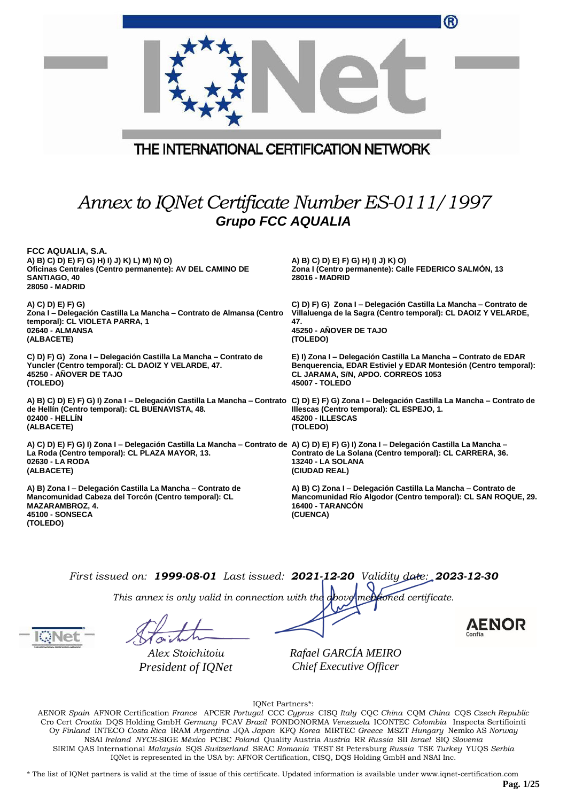|                                                                                                                                                                                                                                  | ®                                                                                                                                                                                          |  |  |
|----------------------------------------------------------------------------------------------------------------------------------------------------------------------------------------------------------------------------------|--------------------------------------------------------------------------------------------------------------------------------------------------------------------------------------------|--|--|
| THE INTERNATIONAL CERTIFICATION NETWORK                                                                                                                                                                                          |                                                                                                                                                                                            |  |  |
| Annex to IQNet Certificate Number ES-0111/1997<br><b>Grupo FCC AQUALIA</b>                                                                                                                                                       |                                                                                                                                                                                            |  |  |
| FCC AQUALIA, S.A.<br>A) B) C) D) E) F) G) H) I) J) K) L) M) N) O)<br>Oficinas Centrales (Centro permanente): AV DEL CAMINO DE<br>SANTIAGO, 40<br>28050 - MADRID                                                                  | A) B) C) D) E) F) G) H) I) J) K) O)<br>Zona I (Centro permanente): Calle FEDERICO SALMON, 13<br>28016 - MADRID                                                                             |  |  |
| A) C) D) E) F) G)<br>Zona I - Delegación Castilla La Mancha - Contrato de Almansa (Centro<br>temporal): CL VIOLETA PARRA, 1<br>02640 - ALMANSA<br>(ALBACETE)                                                                     | C) D) F) G) Zona I - Delegación Castilla La Mancha - Contrato de<br>Villaluenga de la Sagra (Centro temporal): CL DAOIZ Y VELARDE,<br>47.<br>45250 - AÑOVER DE TAJO<br>(TOLEDO)            |  |  |
| C) D) F) G) Zona I – Delegación Castilla La Mancha – Contrato de<br>Yuncler (Centro temporal): CL DAOIZ Y VELARDE, 47.<br>45250 - AÑOVER DE TAJO<br>(TOLEDO)                                                                     | E) I) Zona I – Delegación Castilla La Mancha – Contrato de EDAR<br>Benquerencia, EDAR Estiviel y EDAR Montesión (Centro temporal):<br>CL JARAMA, S/N, APDO. CORREOS 1053<br>45007 - TOLEDO |  |  |
| A) B) C) D) E) F) G) I) Zona I – Delegación Castilla La Mancha – Contrato C) D) E) F) G) Zona I – Delegación Castilla La Mancha – Contrato de<br>de Hellín (Centro temporal): CL BUENAVISTA, 48.<br>02400 - HELLIN<br>(ALBACETE) | Illescas (Centro temporal): CL ESPEJO, 1.<br>45200 - ILLESCAS<br>(TOLEDO)                                                                                                                  |  |  |
| A) C) D) E) F) G) I) Zona I - Delegación Castilla La Mancha - Contrato de A) C) D) E) F) G) I) Zona I - Delegación Castilla La Mancha -<br>La Roda (Centro temporal): CL PLAZA MAYOR, 13.<br>02630 - LA RODA<br>(ALBACETE)       | Contrato de La Solana (Centro temporal): CL CARRERA, 36.<br>13240 - LA SOLANA<br>(CIUDAD REAL)                                                                                             |  |  |
| A) B) Zona I - Delegación Castilla La Mancha - Contrato de<br>Mancomunidad Cabeza del Torcón (Centro temporal): CL<br>MAZARAMBROZ, 4.<br>45100 - SONSECA<br>(TOLEDO)                                                             | A) B) C) Zona I - Delegación Castilla La Mancha - Contrato de<br>Mancomunidad Río Algodor (Centro temporal): CL SAN ROQUE, 29.<br>16400 - TARANCON<br>(CUENCA)                             |  |  |

*This annex is only valid in connection with the above-mentioned certificate.*

*Alex Stoichitoiu President of IQNet* *Rafael GARCÍA MEIRO Chief Executive Officer*

IQNet Partners\*:

AENOR *Spain* AFNOR Certification *France* APCER *Portugal* CCC *Cyprus* CISQ *Italy* CQC *China* CQM *China* CQS *Czech Republic*  Cro Cert *Croatia* DQS Holding GmbH *Germany* FCAV *Brazil* FONDONORMA *Venezuela* ICONTEC *Colombia* Inspecta Sertifiointi Oy *Finland* INTECO *Costa Rica* IRAM *Argentina* JQA *Japan* KFQ *Korea* MIRTEC *Greece* MSZT *Hungary* Nemko AS *Norway*  NSAI *Ireland NYCE-*SIGE *México* PCBC *Poland* Quality Austria *Austria* RR *Russia* SII *Israel* SIQ *Slovenia*  SIRIM QAS International *Malaysia* SQS *Switzerland* SRAC *Romania* TEST St Petersburg *Russia* TSE *Turkey* YUQS *Serbia* IQNet is represented in the USA by: AFNOR Certification, CISQ, DQS Holding GmbH and NSAI Inc.

\* The list of IQNet partners is valid at the time of issue of this certificate. Updated information is available under www.iqnet-certification.com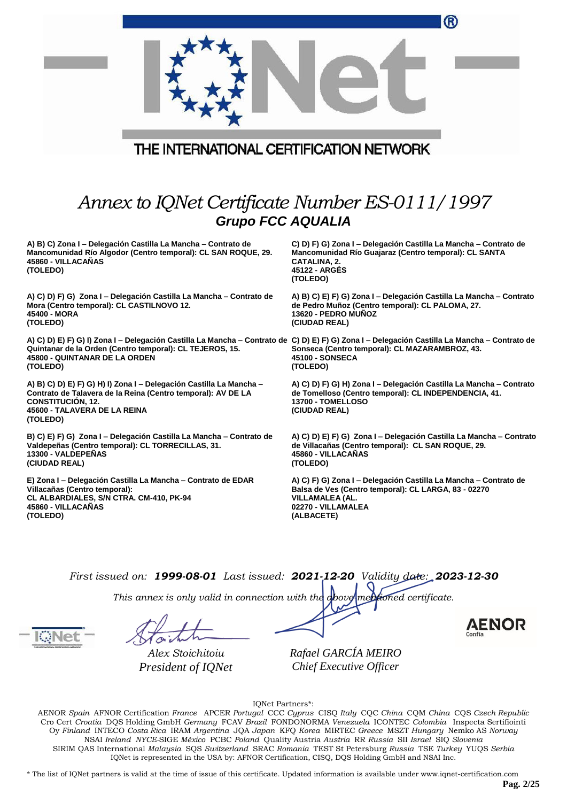|                                                                                                                                                                                                                                                        | ®                                                                                                                                                                               |
|--------------------------------------------------------------------------------------------------------------------------------------------------------------------------------------------------------------------------------------------------------|---------------------------------------------------------------------------------------------------------------------------------------------------------------------------------|
|                                                                                                                                                                                                                                                        |                                                                                                                                                                                 |
| THE INTERNATIONAL CERTIFICATION NETWORK                                                                                                                                                                                                                |                                                                                                                                                                                 |
| Annex to IQNet Certificate Number ES-0111/1997<br><b>Grupo FCC AQUALIA</b>                                                                                                                                                                             |                                                                                                                                                                                 |
| A) B) C) Zona I - Delegación Castilla La Mancha - Contrato de<br>Mancomunidad Río Algodor (Centro temporal): CL SAN ROQUE, 29.<br>45860 - VILLACAÑAS<br>(TOLEDO)                                                                                       | C) D) F) G) Zona I – Delegación Castilla La Mancha – Contrato de<br>Mancomunidad Río Guajaraz (Centro temporal): CL SANTA<br>CATALINA, 2.<br>45122 - ARGÉS<br>(TOLEDO)          |
| A) C) D) F) G) Zona I - Delegación Castilla La Mancha - Contrato de<br>Mora (Centro temporal): CL CASTILNOVO 12.<br>45400 - MORA<br>(TOLEDO)                                                                                                           | A) B) C) E) F) G) Zona I - Delegación Castilla La Mancha - Contrato<br>de Pedro Muñoz (Centro temporal): CL PALOMA, 27.<br>13620 - PEDRO MUÑOZ<br>(CIUDAD REAL)                 |
| A) C) D) E) F) G) I) Zona I - Delegación Castilla La Mancha - Contrato de C) D) E) F) G) Zona I - Delegación Castilla La Mancha - Contrato de<br>Quintanar de la Orden (Centro temporal): CL TEJEROS, 15.<br>45800 - QUINTANAR DE LA ORDEN<br>(TOLEDO) | Sonseca (Centro temporal): CL MAZARAMBROZ, 43.<br>45100 - SONSECA<br>(TOLEDO)                                                                                                   |
| A) B) C) D) E) F) G) H) I) Zona I - Delegación Castilla La Mancha -<br>Contrato de Talavera de la Reina (Centro temporal): AV DE LA<br><b>CONSTITUCIÓN, 12.</b><br>45600 - TALAVERA DE LA REINA<br>(TOLEDO)                                            | A) C) D) F) G) H) Zona I - Delegación Castilla La Mancha - Contrato<br>de Tomelloso (Centro temporal): CL INDEPENDENCIA, 41.<br>13700 - TOMELLOSO<br>(CIUDAD REAL)              |
| B) C) E) F) G) Zona I - Delegación Castilla La Mancha - Contrato de<br>Valdepeñas (Centro temporal): CL TORRECILLAS, 31.<br>13300 - VALDEPEÑAS<br>(CIUDAD REAL)                                                                                        | A) C) D) E) F) G) Zona I - Delegación Castilla La Mancha - Contrato<br>de Villacañas (Centro temporal): CL SAN ROQUE, 29.<br>45860 - VILLACAÑAS<br>(TOLEDO)                     |
| E) Zona I - Delegación Castilla La Mancha - Contrato de EDAR<br>Villacañas (Centro temporal):<br>CL ALBARDIALES, S/N CTRA. CM-410, PK-94<br>45860 - VILLACAÑAS<br>(TOLEDO)                                                                             | A) C) F) G) Zona I - Delegación Castilla La Mancha - Contrato de<br>Balsa de Ves (Centro temporal): CL LARGA, 83 - 02270<br>VILLAMALEA (AL.<br>02270 - VILLAMALEA<br>(ALBACETE) |

*This annex is only valid in connection with the above-mentioned certificate.*

*Alex Stoichitoiu President of IQNet* *Rafael GARCÍA MEIRO Chief Executive Officer*

IQNet Partners\*:

AENOR *Spain* AFNOR Certification *France* APCER *Portugal* CCC *Cyprus* CISQ *Italy* CQC *China* CQM *China* CQS *Czech Republic*  Cro Cert *Croatia* DQS Holding GmbH *Germany* FCAV *Brazil* FONDONORMA *Venezuela* ICONTEC *Colombia* Inspecta Sertifiointi Oy *Finland* INTECO *Costa Rica* IRAM *Argentina* JQA *Japan* KFQ *Korea* MIRTEC *Greece* MSZT *Hungary* Nemko AS *Norway*  NSAI *Ireland NYCE-*SIGE *México* PCBC *Poland* Quality Austria *Austria* RR *Russia* SII *Israel* SIQ *Slovenia*  SIRIM QAS International *Malaysia* SQS *Switzerland* SRAC *Romania* TEST St Petersburg *Russia* TSE *Turkey* YUQS *Serbia* IQNet is represented in the USA by: AFNOR Certification, CISQ, DQS Holding GmbH and NSAI Inc.

\* The list of IQNet partners is valid at the time of issue of this certificate. Updated information is available under www.iqnet-certification.com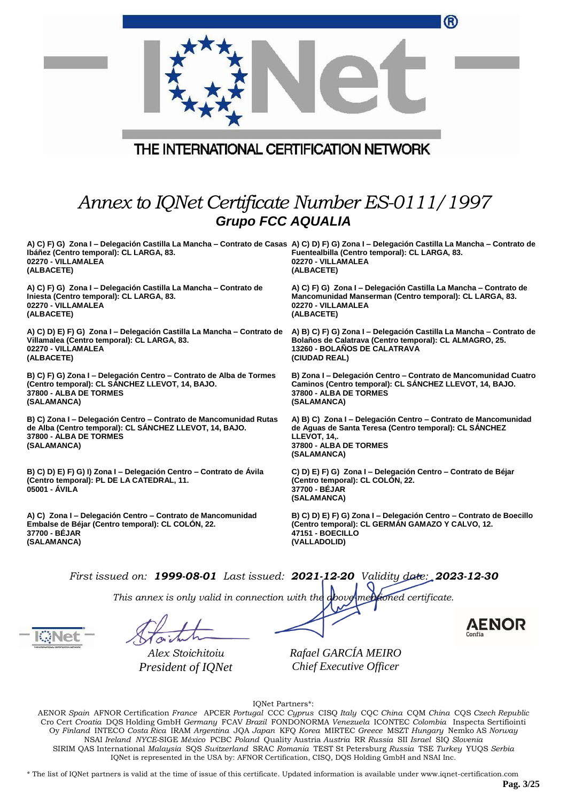|                                                                                                                                                                                                                           | ®                                                                                                                                                                                      |              |
|---------------------------------------------------------------------------------------------------------------------------------------------------------------------------------------------------------------------------|----------------------------------------------------------------------------------------------------------------------------------------------------------------------------------------|--------------|
| THE INTERNATIONAL CERTIFICATION NETWORK                                                                                                                                                                                   |                                                                                                                                                                                        |              |
| Annex to IQNet Certificate Number ES-0111/1997<br><b>Grupo FCC AQUALIA</b>                                                                                                                                                |                                                                                                                                                                                        |              |
| A) C) F) G) Zona I – Delegación Castilla La Mancha – Contrato de Casas A) C) D) F) G) Zona I – Delegación Castilla La Mancha – Contrato de<br>Ibáñez (Centro temporal): CL LARGA, 83.<br>02270 - VILLAMALEA<br>(ALBACETE) | Fuentealbilla (Centro temporal): CL LARGA, 83.<br>02270 - VILLAMALEA<br>(ALBACETE)                                                                                                     |              |
| A) C) F) G) Zona I – Delegación Castilla La Mancha – Contrato de<br>Iniesta (Centro temporal): CL LARGA, 83.<br>02270 - VILLAMALEA<br>(ALBACETE)                                                                          | A) C) F) G) Zona I – Delegación Castilla La Mancha – Contrato de<br>Mancomunidad Manserman (Centro temporal): CL LARGA, 83.<br>02270 - VILLAMALEA<br>(ALBACETE)                        |              |
| A) C) D) E) F) G) Zona I – Delegación Castilla La Mancha – Contrato de<br>Villamalea (Centro temporal): CL LARGA, 83.<br>02270 - VILLAMALEA<br>(ALBACETE)                                                                 | A) B) C) F) G) Zona I - Delegación Castilla La Mancha - Contrato de<br>Bolaños de Calatrava (Centro temporal): CL ALMAGRO, 25.<br><b>13260 - BOLANOS DE CALATRAVA</b><br>(CIUDAD REAL) |              |
| B) C) F) G) Zona I - Delegación Centro - Contrato de Alba de Tormes<br>(Centro temporal): CL SANCHEZ LLEVOT, 14, BAJO.<br>37800 - ALBA DE TORMES<br>(SALAMANCA)                                                           | B) Zona I - Delegación Centro - Contrato de Mancomunidad Cuatro<br>Caminos (Centro temporal): CL SÁNCHEZ LLEVOT, 14, BAJO.<br>37800 - ALBA DE TORMES<br>(SALAMANCA)                    |              |
| B) C) Zona I - Delegación Centro - Contrato de Mancomunidad Rutas<br>de Alba (Centro temporal): CL SÁNCHEZ LLEVOT, 14, BAJO.<br><b>37800 - ALBA DE TORMES</b><br>(SALAMANCA)                                              | A) B) C) Zona I - Delegación Centro - Contrato de Mancomunidad<br>de Aguas de Santa Teresa (Centro temporal): CL SÁNCHEZ<br>LLEVOT, 14,.<br>37800 - ALBA DE TORMES<br>(SALAMANCA)      |              |
| B) C) D) E) F) G) I) Zona I - Delegación Centro - Contrato de Ávila<br>(Centro temporal): PL DE LA CATEDRAL, 11.<br>05001 - AVILA                                                                                         | C) D) E) F) G) Zona I - Delegación Centro - Contrato de Béjar<br>(Centro temporal): CL COLÓN, 22.<br>37700 - BEJAR<br>(SALAMANCA)                                                      |              |
| A) C) Zona I - Delegación Centro - Contrato de Mancomunidad<br>Embalse de Béjar (Centro temporal): CL COLON, 22.<br>37700 - BÉJAR<br>(SALAMANCA)                                                                          | B) C) D) E) F) G) Zona I – Delegación Centro – Contrato de Boecillo<br>(Centro temporal): CL GERMAN GAMAZO Y CALVO, 12.<br>47151 - BOECILLO<br>(VALLADOLID)                            |              |
| First issued on: $1999-08-01$ Last issued: $2021-12-20$ Validity date: $2023-12-30$<br>This annex is only valid in connection with the above mentioned certificate.                                                       |                                                                                                                                                                                        |              |
|                                                                                                                                                                                                                           |                                                                                                                                                                                        | <b>AENOR</b> |

*Alex Stoichitoiu President of IQNet*

*Rafael GARCÍA MEIRO Chief Executive Officer*

IQNet Partners\*:

AENOR *Spain* AFNOR Certification *France* APCER *Portugal* CCC *Cyprus* CISQ *Italy* CQC *China* CQM *China* CQS *Czech Republic*  Cro Cert *Croatia* DQS Holding GmbH *Germany* FCAV *Brazil* FONDONORMA *Venezuela* ICONTEC *Colombia* Inspecta Sertifiointi Oy *Finland* INTECO *Costa Rica* IRAM *Argentina* JQA *Japan* KFQ *Korea* MIRTEC *Greece* MSZT *Hungary* Nemko AS *Norway*  NSAI *Ireland NYCE-*SIGE *México* PCBC *Poland* Quality Austria *Austria* RR *Russia* SII *Israel* SIQ *Slovenia*  SIRIM QAS International *Malaysia* SQS *Switzerland* SRAC *Romania* TEST St Petersburg *Russia* TSE *Turkey* YUQS *Serbia* IQNet is represented in the USA by: AFNOR Certification, CISQ, DQS Holding GmbH and NSAI Inc.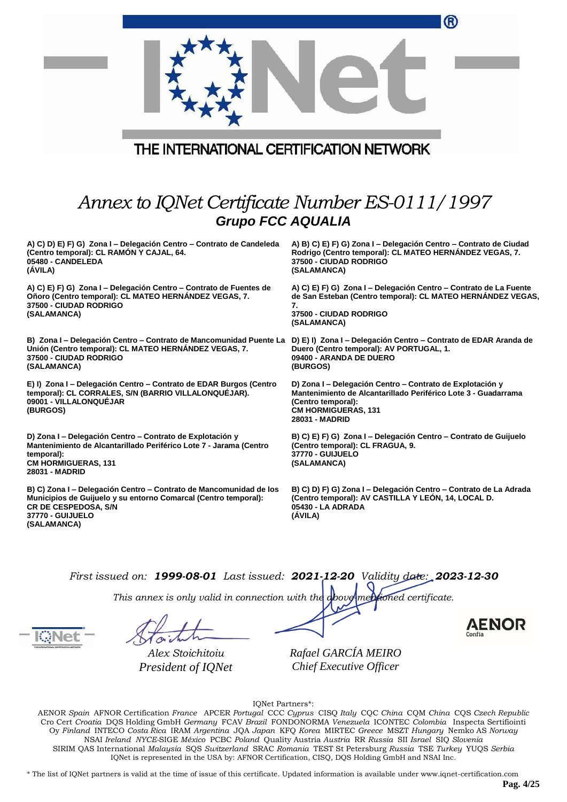|                                                                                                                                                                                                  | 0                                                                                                                                                                                                 |  |
|--------------------------------------------------------------------------------------------------------------------------------------------------------------------------------------------------|---------------------------------------------------------------------------------------------------------------------------------------------------------------------------------------------------|--|
| THE INTERNATIONAL CERTIFICATION NETWORK                                                                                                                                                          |                                                                                                                                                                                                   |  |
| Annex to IQNet Certificate Number ES-0111/1997<br><b>Grupo FCC AQUALIA</b>                                                                                                                       |                                                                                                                                                                                                   |  |
| A) C) D) E) F) G) Zona I – Delegación Centro – Contrato de Candeleda<br>(Centro temporal): CL RAMÓN Y CAJAL, 64.<br>05480 - CANDELEDA<br>(ÁVILA)                                                 | A) B) C) E) F) G) Zona I - Delegación Centro - Contrato de Ciudad<br>Rodrigo (Centro temporal): CL MATEO HERNANDEZ VEGAS, 7.<br>37500 - CIUDAD RODRIGO<br>(SALAMANCA)                             |  |
| A) C) E) F) G) Zona I – Delegación Centro – Contrato de Fuentes de<br>Oñoro (Centro temporal): CL MATEO HERNANDEZ VEGAS, 7.<br>37500 - CIUDAD RODRIGO<br>(SALAMANCA)                             | A) C) E) F) G) Zona I - Delegación Centro - Contrato de La Fuente<br>de San Esteban (Centro temporal): CL MATEO HERNÁNDEZ VEGAS<br>7.<br><b>37500 - CIUDAD RODRIGO</b><br>(SALAMANCA)             |  |
| B) Zona I - Delegación Centro - Contrato de Mancomunidad Puente La<br>Unión (Centro temporal): CL MATEO HERNANDEZ VEGAS, 7.<br><b>37500 - CIUDAD RODRIGO</b><br>(SALAMANCA)                      | D) E) I) Zona I – Delegación Centro – Contrato de EDAR Aranda de<br>Duero (Centro temporal): AV PORTUGAL, 1.<br>09400 - ARANDA DE DUERO<br>(BURGOS)                                               |  |
| E) I) Zona I - Delegación Centro - Contrato de EDAR Burgos (Centro<br>temporal): CL CORRALES, S/N (BARRIO VILLALONQUEJAR).<br>09001 - VILLALONQUEJAR<br>(BURGOS)                                 | D) Zona I - Delegación Centro - Contrato de Explotación y<br>Mantenimiento de Alcantarillado Periférico Lote 3 - Guadarrama<br>(Centro temporal):<br><b>CM HORMIGUERAS, 131</b><br>28031 - MADRID |  |
| D) Zona I - Delegación Centro - Contrato de Explotación y<br>Mantenimiento de Alcantarillado Periférico Lote 7 - Jarama (Centro<br>temporal):<br><b>CM HORMIGUERAS, 131</b><br>28031 - MADRID    | B) C) E) F) G) Zona I - Delegación Centro - Contrato de Guijuelo<br>(Centro temporal): CL FRAGUA, 9.<br>37770 - GUIJUELO<br>(SALAMANCA)                                                           |  |
| B) C) Zona I – Delegación Centro – Contrato de Mancomunidad de los<br>Municipios de Guijuelo y su entorno Comarcal (Centro temporal):<br>CR DE CESPEDOSA, S/N<br>37770 - GUIJUELO<br>(SALAMANCA) | B) C) D) F) G) Zona I - Delegación Centro - Contrato de La Adrada<br>(Centro temporal): AV CASTILLA Y LEÓN, 14, LOCAL D.<br>05430 - LA ADRADA<br>(ÁVILA)                                          |  |

*This annex is only valid in connection with the above-mentioned certificate.*

*Alex Stoichitoiu President of IQNet* *Rafael GARCÍA MEIRO Chief Executive Officer*

IQNet Partners\*:

AENOR *Spain* AFNOR Certification *France* APCER *Portugal* CCC *Cyprus* CISQ *Italy* CQC *China* CQM *China* CQS *Czech Republic*  Cro Cert *Croatia* DQS Holding GmbH *Germany* FCAV *Brazil* FONDONORMA *Venezuela* ICONTEC *Colombia* Inspecta Sertifiointi Oy *Finland* INTECO *Costa Rica* IRAM *Argentina* JQA *Japan* KFQ *Korea* MIRTEC *Greece* MSZT *Hungary* Nemko AS *Norway*  NSAI *Ireland NYCE-*SIGE *México* PCBC *Poland* Quality Austria *Austria* RR *Russia* SII *Israel* SIQ *Slovenia*  SIRIM QAS International *Malaysia* SQS *Switzerland* SRAC *Romania* TEST St Petersburg *Russia* TSE *Turkey* YUQS *Serbia* IQNet is represented in the USA by: AFNOR Certification, CISQ, DQS Holding GmbH and NSAI Inc.

\* The list of IQNet partners is valid at the time of issue of this certificate. Updated information is available under www.iqnet-certification.com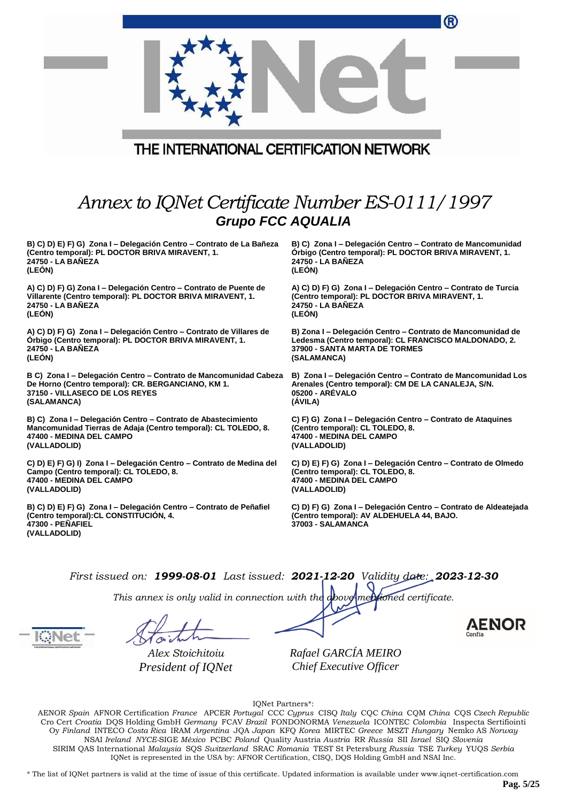|                                                                                                                                                   | 0                                                                                                                                  |
|---------------------------------------------------------------------------------------------------------------------------------------------------|------------------------------------------------------------------------------------------------------------------------------------|
| THE INTERNATIONAL CERTIFICATION NETWORK                                                                                                           |                                                                                                                                    |
| Annex to IQNet Certificate Number ES-0111/1997<br><b>Grupo FCC AQUALIA</b>                                                                        |                                                                                                                                    |
| B) C) D) E) F) G) Zona I - Delegación Centro - Contrato de La Bañeza                                                                              | B) C) Zona I - Delegación Centro - Contrato de Mancomunidad                                                                        |
| (Centro temporal): PL DOCTOR BRIVA MIRAVENT, 1.                                                                                                   | Orbigo (Centro temporal): PL DOCTOR BRIVA MIRAVENT, 1.                                                                             |
| 24750 - LA BAÑEZA                                                                                                                                 | 24750 - LA BAÑEZA                                                                                                                  |
| (LEON)                                                                                                                                            | (LEÓN)                                                                                                                             |
| A) C) D) F) G) Zona I - Delegación Centro - Contrato de Puente de                                                                                 | A) C) D) F) G) Zona I - Delegación Centro - Contrato de Turcia                                                                     |
| Villarente (Centro temporal): PL DOCTOR BRIVA MIRAVENT, 1.                                                                                        | (Centro temporal): PL DOCTOR BRIVA MIRAVENT, 1.                                                                                    |
| 24750 - LA BAÑEZA                                                                                                                                 | 24750 - LA BAÑEZA                                                                                                                  |
| (LEÓN)                                                                                                                                            | (LEON)                                                                                                                             |
| A) C) D) F) G) Zona I - Delegación Centro - Contrato de Villares de                                                                               | B) Zona I - Delegación Centro - Contrato de Mancomunidad de                                                                        |
| Orbigo (Centro temporal): PL DOCTOR BRIVA MIRAVENT, 1.                                                                                            | Ledesma (Centro temporal): CL FRANCISCO MALDONADO, 2.                                                                              |
| 24750 - LA BANEZA                                                                                                                                 | <b>37900 - SANTA MARTA DE TORMES</b>                                                                                               |
| (LEÓN)                                                                                                                                            | (SALAMANCA)                                                                                                                        |
| B C) Zona I – Delegación Centro – Contrato de Mancomunidad Cabeza                                                                                 | B) Zona I - Delegación Centro - Contrato de Mancomunidad Los                                                                       |
| De Horno (Centro temporal): CR. BERGANCIANO, KM 1.                                                                                                | Arenales (Centro temporal): CM DE LA CANALEJA, S/N.                                                                                |
| <b>37150 - VILLASECO DE LOS REYES</b>                                                                                                             | 05200 - AREVALO                                                                                                                    |
| (SALAMANCA)                                                                                                                                       | (ÁVILA)                                                                                                                            |
| B) C) Zona I - Delegación Centro - Contrato de Abastecimiento                                                                                     | C) F) G) Zona I – Delegación Centro – Contrato de Ataquines                                                                        |
| Mancomunidad Tierras de Adaja (Centro temporal): CL TOLEDO, 8.                                                                                    | (Centro temporal): CL TOLEDO, 8.                                                                                                   |
| 47400 - MEDINA DEL CAMPO                                                                                                                          | 47400 - MEDINA DEL CAMPO                                                                                                           |
| (VALLADOLID)                                                                                                                                      | (VALLADOLID)                                                                                                                       |
| C) D) E) F) G) I) Zona I - Delegación Centro - Contrato de Medina del                                                                             | C) D) E) F) G) Zona I - Delegación Centro - Contrato de Olmedo                                                                     |
| Campo (Centro temporal): CL TOLEDO, 8.                                                                                                            | (Centro temporal): CL TOLEDO, 8.                                                                                                   |
| 47400 - MEDINA DEL CAMPO                                                                                                                          | 47400 - MEDINA DEL CAMPO                                                                                                           |
| (VALLADOLID)                                                                                                                                      | (VALLADOLID)                                                                                                                       |
| B) C) D) E) F) G) Zona I - Delegación Centro - Contrato de Peñafiel<br>(Centro temporal): CL CONSTITUCIÓN, 4.<br>47300 - PEÑAFIEL<br>(VALLADOLID) | C) D) F) G) Zona I - Delegación Centro - Contrato de Aldeatejada<br>(Centro temporal): AV ALDEHUELA 44, BAJO.<br>37003 - SALAMANCA |
|                                                                                                                                                   |                                                                                                                                    |

*This annex is only valid in connection with the above-mentioned certificate.*

*Alex Stoichitoiu President of IQNet*

*Rafael GARCÍA MEIRO Chief Executive Officer*

IQNet Partners\*:

AENOR *Spain* AFNOR Certification *France* APCER *Portugal* CCC *Cyprus* CISQ *Italy* CQC *China* CQM *China* CQS *Czech Republic*  Cro Cert *Croatia* DQS Holding GmbH *Germany* FCAV *Brazil* FONDONORMA *Venezuela* ICONTEC *Colombia* Inspecta Sertifiointi Oy *Finland* INTECO *Costa Rica* IRAM *Argentina* JQA *Japan* KFQ *Korea* MIRTEC *Greece* MSZT *Hungary* Nemko AS *Norway*  NSAI *Ireland NYCE-*SIGE *México* PCBC *Poland* Quality Austria *Austria* RR *Russia* SII *Israel* SIQ *Slovenia*  SIRIM QAS International *Malaysia* SQS *Switzerland* SRAC *Romania* TEST St Petersburg *Russia* TSE *Turkey* YUQS *Serbia* IQNet is represented in the USA by: AFNOR Certification, CISQ, DQS Holding GmbH and NSAI Inc.

\* The list of IQNet partners is valid at the time of issue of this certificate. Updated information is available under www.iqnet-certification.com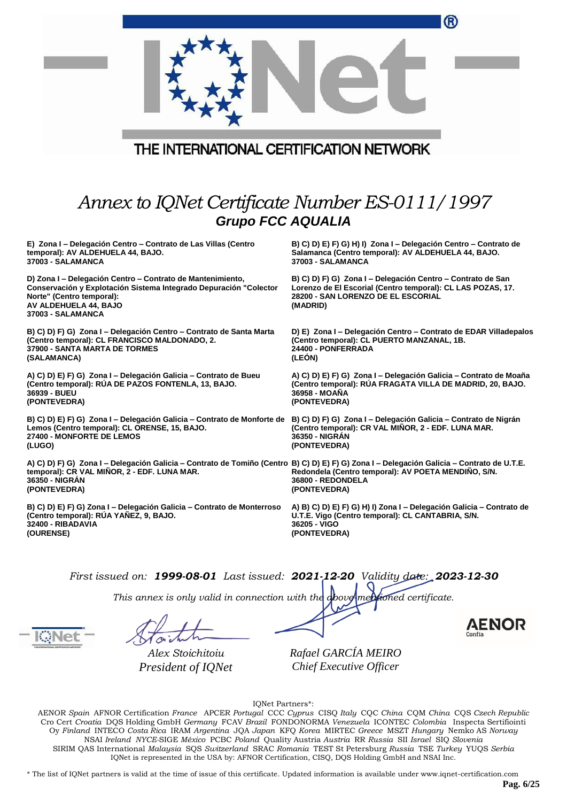| THE INTERNATIONAL CERTIFICATION NETWORK                                                                                                                                                                                                  | ®                                                                                                                                                                            |
|------------------------------------------------------------------------------------------------------------------------------------------------------------------------------------------------------------------------------------------|------------------------------------------------------------------------------------------------------------------------------------------------------------------------------|
| Annex to IQNet Certificate Number ES-0111/1997<br><b>Grupo FCC AQUALIA</b>                                                                                                                                                               |                                                                                                                                                                              |
| E) Zona I – Delegación Centro – Contrato de Las Villas (Centro<br>temporal): AV ALDEHUELA 44, BAJO.<br>37003 - SALAMANCA                                                                                                                 | B) C) D) E) F) G) H) I) Zona I – Delegación Centro – Contrato de<br>Salamanca (Centro temporal): AV ALDEHUELA 44, BAJO.<br>37003 - SALAMANCA                                 |
| D) Zona I - Delegación Centro - Contrato de Mantenimiento,<br>Conservación y Explotación Sistema Integrado Depuración "Colector<br>Norte" (Centro temporal):<br>AV ALDEHUELA 44, BAJO<br>37003 - SALAMANCA                               | B) C) D) F) G) Zona I – Delegación Centro – Contrato de San<br>Lorenzo de El Escorial (Centro temporal): CL LAS POZAS, 17.<br>28200 - SAN LORENZO DE EL ESCORIAL<br>(MADRID) |
| B) C) D) F) G) Zona I - Delegación Centro - Contrato de Santa Marta<br>(Centro temporal): CL FRANCISCO MALDONADO, 2.<br>37900 - SANTA MARTA DE TORMES<br>(SALAMANCA)                                                                     | D) E) Zona I - Delegación Centro - Contrato de EDAR Villadepalos<br>(Centro temporal): CL PUERTO MANZANAL, 1B.<br>24400 - PONFERRADA<br>(LEON)                               |
| A) C) D) E) F) G) Zona I - Delegación Galicia - Contrato de Bueu<br>(Centro temporal): RÚA DE PAZOS FONTENLA, 13, BAJO.<br>36939 - BUEU<br>(PONTEVEDRA)                                                                                  | A) C) D) E) F) G) Zona I - Delegación Galicia - Contrato de Moaña<br>(Centro temporal): RUA FRAGATA VILLA DE MADRID, 20, BAJO.<br>36958 - MOANA<br>(PONTEVEDRA)              |
| B) C) D) E) F) G) Zona I – Delegación Galicia – Contrato de Monforte de   B) C) D) F) G) Zona I – Delegación Galicia – Contrato de Nigrán<br>Lemos (Centro temporal): CL ORENSE, 15, BAJO.<br><b>27400 - MONFORTE DE LEMOS</b><br>(LUGO) | (Centro temporal): CR VAL MIÑOR, 2 - EDF. LUNA MAR.<br>36350 - NIGRAN<br>(PONTEVEDRA)                                                                                        |
| A) C) D) F) G) Zona I – Delegación Galicia – Contrato de Tomiño (Centro B) C) D) E) F) G) Zona I – Delegación Galicia – Contrato de U.T.E.<br>temporal): CR VAL MIÑOR, 2 - EDF. LUNA MAR.<br>36350 - NIGRAN<br>(PONTEVEDRA)              | Redondela (Centro temporal): AV POETA MENDIÑO, S/N.<br>36800 - REDONDELA<br>(PONTEVEDRA)                                                                                     |
| B) C) D) E) F) G) Zona I – Delegación Galicia – Contrato de Monterroso<br>(Centro temporal): RUA YAÑEZ, 9, BAJO.<br>32400 - RIBADAVIA<br>(OURENSE)                                                                                       | A) B) C) D) E) F) G) H) I) Zona I - Delegación Galicia - Contrato de<br>U.T.E. Vigo (Centro temporal): CL CANTABRIA, S/N.<br>36205 - VIGO<br>(PONTEVEDRA)                    |

*This annex is only valid in connection with the above-mentioned certificate.*

*Alex Stoichitoiu President of IQNet*

*Rafael GARCÍA MEIRO Chief Executive Officer*

IQNet Partners\*:

AENOR *Spain* AFNOR Certification *France* APCER *Portugal* CCC *Cyprus* CISQ *Italy* CQC *China* CQM *China* CQS *Czech Republic*  Cro Cert *Croatia* DQS Holding GmbH *Germany* FCAV *Brazil* FONDONORMA *Venezuela* ICONTEC *Colombia* Inspecta Sertifiointi Oy *Finland* INTECO *Costa Rica* IRAM *Argentina* JQA *Japan* KFQ *Korea* MIRTEC *Greece* MSZT *Hungary* Nemko AS *Norway*  NSAI *Ireland NYCE-*SIGE *México* PCBC *Poland* Quality Austria *Austria* RR *Russia* SII *Israel* SIQ *Slovenia*  SIRIM QAS International *Malaysia* SQS *Switzerland* SRAC *Romania* TEST St Petersburg *Russia* TSE *Turkey* YUQS *Serbia* IQNet is represented in the USA by: AFNOR Certification, CISQ, DQS Holding GmbH and NSAI Inc.

\* The list of IQNet partners is valid at the time of issue of this certificate. Updated information is available under www.iqnet-certification.com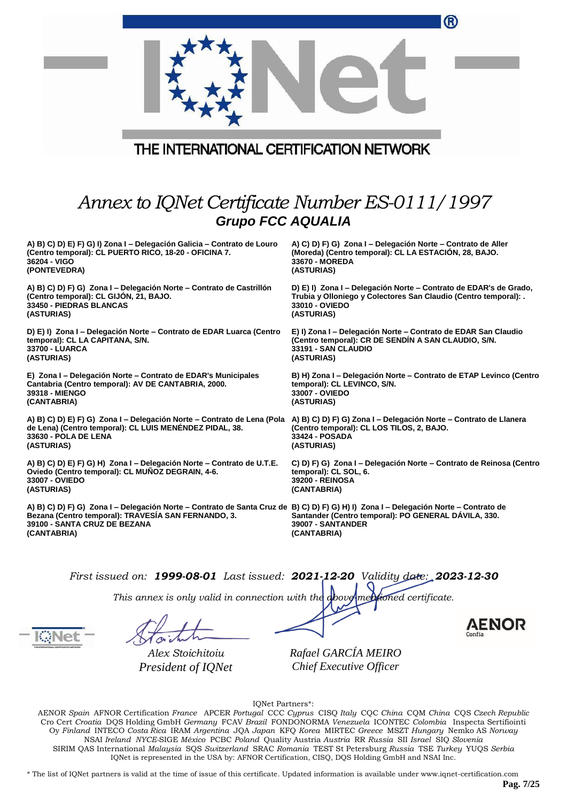| ®                                                                                                                                                                                                                                  |  |  |  |
|------------------------------------------------------------------------------------------------------------------------------------------------------------------------------------------------------------------------------------|--|--|--|
| THE INTERNATIONAL CERTIFICATION NETWORK                                                                                                                                                                                            |  |  |  |
| Annex to IQNet Certificate Number ES-0111/1997<br><b>Grupo FCC AQUALIA</b>                                                                                                                                                         |  |  |  |
| A) C) D) F) G) Zona I - Delegación Norte - Contrato de Aller<br>(Moreda) (Centro temporal): CL LA ESTACIÓN, 28, BAJO.<br>33670 - MOREDA<br>(ASTURIAS)                                                                              |  |  |  |
| D) E) I) Zona I – Delegación Norte – Contrato de EDAR's de Grado,<br>Trubia y Olloniego y Colectores San Claudio (Centro temporal): .<br>33010 - OVIEDO<br>(ASTURIAS)                                                              |  |  |  |
| D) E) I) Zona I - Delegación Norte - Contrato de EDAR Luarca (Centro<br>E) I) Zona I - Delegación Norte - Contrato de EDAR San Claudio<br>(Centro temporal): CR DE SENDIN A SAN CLAUDIO, S/N.<br>33191 - SAN CLAUDIO<br>(ASTURIAS) |  |  |  |
| B) H) Zona I - Delegación Norte - Contrato de ETAP Levinco (Centro<br>temporal): CL LEVINCO, S/N.<br>33007 - OVIEDO<br>(ASTURIAS)                                                                                                  |  |  |  |
| A) B) C) D) E) F) G) Zona I – Delegación Norte – Contrato de Lena (Pola<br>A) B) C) D) F) G) Zona I – Delegación Norte – Contrato de Llanera<br>(Centro temporal): CL LOS TILOS, 2, BAJO.<br>33424 - POSADA<br>(ASTURIAS)          |  |  |  |
| C) D) F) G) Zona I – Delegación Norte – Contrato de Reinosa (Centro<br>temporal): CL SOL, 6.<br>39200 - REINOSA<br>(CANTABRIA)                                                                                                     |  |  |  |
| A) B) C) D) F) G) Zona I – Delegación Norte – Contrato de Santa Cruz de B) C) D) F) G) H) I) Zona I – Delegación Norte – Contrato de<br>Santander (Centro temporal): PO GENERAL DAVILA, 330.<br>39007 - SANTANDER<br>(CANTABRIA)   |  |  |  |
| A) B) C) D) E) F) G) H) Zona I – Delegación Norte – Contrato de U.T.E.                                                                                                                                                             |  |  |  |

*This annex is only valid in connection with the above-mentioned certificate.*

*Alex Stoichitoiu President of IQNet*

*Rafael GARCÍA MEIRO Chief Executive Officer*

IQNet Partners\*:

AENOR *Spain* AFNOR Certification *France* APCER *Portugal* CCC *Cyprus* CISQ *Italy* CQC *China* CQM *China* CQS *Czech Republic*  Cro Cert *Croatia* DQS Holding GmbH *Germany* FCAV *Brazil* FONDONORMA *Venezuela* ICONTEC *Colombia* Inspecta Sertifiointi Oy *Finland* INTECO *Costa Rica* IRAM *Argentina* JQA *Japan* KFQ *Korea* MIRTEC *Greece* MSZT *Hungary* Nemko AS *Norway*  NSAI *Ireland NYCE-*SIGE *México* PCBC *Poland* Quality Austria *Austria* RR *Russia* SII *Israel* SIQ *Slovenia*  SIRIM QAS International *Malaysia* SQS *Switzerland* SRAC *Romania* TEST St Petersburg *Russia* TSE *Turkey* YUQS *Serbia* IQNet is represented in the USA by: AFNOR Certification, CISQ, DQS Holding GmbH and NSAI Inc.

\* The list of IQNet partners is valid at the time of issue of this certificate. Updated information is available under www.iqnet-certification.com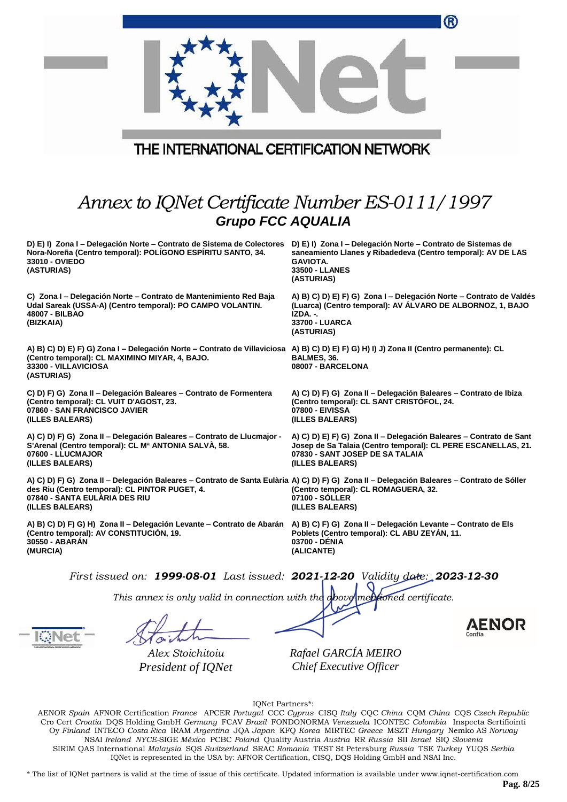|                                                                                                                                                                                                                                                  | ®                                                                                                                                                                                         |
|--------------------------------------------------------------------------------------------------------------------------------------------------------------------------------------------------------------------------------------------------|-------------------------------------------------------------------------------------------------------------------------------------------------------------------------------------------|
| THE INTERNATIONAL CERTIFICATION NETWORK                                                                                                                                                                                                          |                                                                                                                                                                                           |
| Annex to IQNet Certificate Number ES-0111/1997<br><b>Grupo FCC AQUALIA</b>                                                                                                                                                                       |                                                                                                                                                                                           |
| D) E) I) Zona I - Delegación Norte - Contrato de Sistema de Colectores<br>Nora-Noreña (Centro temporal): POLÍGONO ESPÍRITU SANTO, 34.<br>33010 - OVIEDO<br>(ASTURIAS)                                                                            | D) E) I) Zona I – Delegación Norte – Contrato de Sistemas de<br>saneamiento Llanes y Ribadedeva (Centro temporal): AV DE LAS<br><b>GAVIOTA.</b><br>33500 - LLANES<br>(ASTURIAS)           |
| C) Zona I - Delegación Norte - Contrato de Mantenimiento Red Baja<br>Udal Sareak (USSA-A) (Centro temporal): PO CAMPO VOLANTIN.<br>48007 - BILBAO<br>(BIZKAIA)                                                                                   | A) B) C) D) E) F) G) Zona I - Delegación Norte - Contrato de Valdés<br>(Luarca) (Centro temporal): AV ÁLVARO DE ALBORNOZ, 1, BAJO<br>IZDA. -.<br>33700 - LUARCA<br>(ASTURIAS)             |
| A) B) C) D) E) F) G) Zona I – Delegación Norte – Contrato de Villaviciosa A) B) C) D) E) F) G) H) I) J) Zona II (Centro permanente): CL<br>(Centro temporal): CL MAXIMINO MIYAR, 4, BAJO.<br>33300 - VILLAVICIOSA<br>(ASTURIAS)                  | BALMES, 36.<br>08007 - BARCELONA                                                                                                                                                          |
| C) D) F) G) Zona II - Delegación Baleares - Contrato de Formentera<br>(Centro temporal): CL VUIT D'AGOST, 23.<br>07860 - SAN FRANCISCO JAVIER<br>(ILLES BALEARS)                                                                                 | A) C) D) F) G) Zona II - Delegación Baleares - Contrato de Ibiza<br>(Centro temporal): CL SANT CRISTOFOL, 24.<br>07800 - EIVISSA<br>(ILLES BALEARS)                                       |
| A) C) D) F) G) Zona II - Delegación Baleares - Contrato de Llucmajor -<br>S'Arenal (Centro temporal): CL Mª ANTONIA SALVÀ, 58.<br>07600 - LLUCMAJOR<br>(ILLES BALEARS)                                                                           | A) C) D) E) F) G) Zona II - Delegación Baleares - Contrato de Sant<br>Josep de Sa Talaia (Centro temporal): CL PERE ESCANELLAS, 21.<br>07830 - SANT JOSEP DE SA TALAIA<br>(ILLES BALEARS) |
| A) C) D) F) G) Zona II - Delegación Baleares - Contrato de Santa Eulària A) C) D) F) G) Zona II - Delegación Baleares - Contrato de Sóller<br>des Riu (Centro temporal): CL PINTOR PUGET, 4.<br>07840 - SANTA EULARIA DES RIU<br>(ILLES BALEARS) | (Centro temporal): CL ROMAGUERA, 32.<br>07100 - SOLLER<br>(ILLES BALEARS)                                                                                                                 |
| A) B) C) D) F) G) H) Zona II – Delegación Levante – Contrato de Abarán A) B) C) F) G) Zona II – Delegación Levante – Contrato de Els<br>(Centro temporal): AV CONSTITUCIÓN, 19.<br>30550 - ABARAN<br>(MURCIA)                                    | Poblets (Centro temporal): CL ABU ZEYAN, 11.<br>03700 - DENIA<br>(ALICANTE)                                                                                                               |
| First issued on: $1999-08-01$ Last issued: $2021-12-20$ Validity date: $2023-12-30$<br>This annex is only valid in connection with the above mentioned certificate.                                                                              |                                                                                                                                                                                           |
|                                                                                                                                                                                                                                                  | AENOR                                                                                                                                                                                     |

Haith

*Alex Stoichitoiu President of IQNet* *Rafael GARCÍA MEIRO Chief Executive Officer*

IQNet Partners\*:

AENOR *Spain* AFNOR Certification *France* APCER *Portugal* CCC *Cyprus* CISQ *Italy* CQC *China* CQM *China* CQS *Czech Republic*  Cro Cert *Croatia* DQS Holding GmbH *Germany* FCAV *Brazil* FONDONORMA *Venezuela* ICONTEC *Colombia* Inspecta Sertifiointi Oy *Finland* INTECO *Costa Rica* IRAM *Argentina* JQA *Japan* KFQ *Korea* MIRTEC *Greece* MSZT *Hungary* Nemko AS *Norway*  NSAI *Ireland NYCE-*SIGE *México* PCBC *Poland* Quality Austria *Austria* RR *Russia* SII *Israel* SIQ *Slovenia*  SIRIM QAS International *Malaysia* SQS *Switzerland* SRAC *Romania* TEST St Petersburg *Russia* TSE *Turkey* YUQS *Serbia* IQNet is represented in the USA by: AFNOR Certification, CISQ, DQS Holding GmbH and NSAI Inc.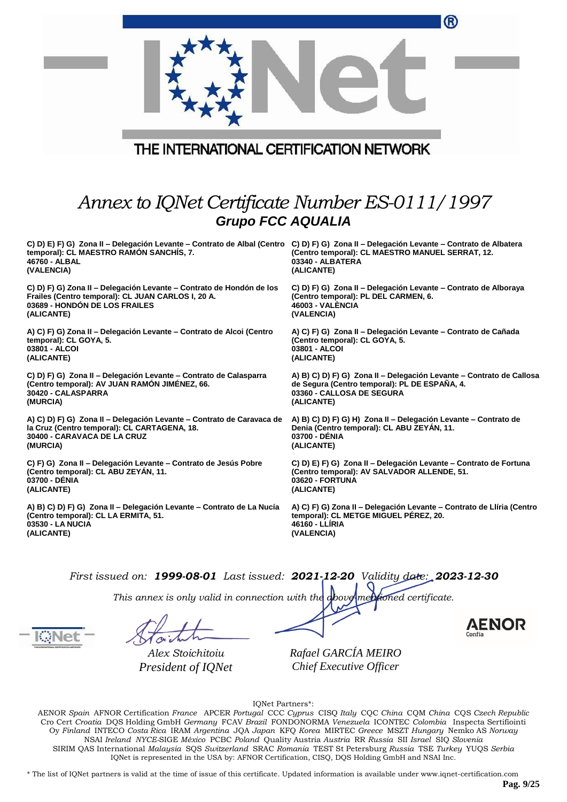|                                                                                                                                                                                                                   | ®                                                                                  |  |  |
|-------------------------------------------------------------------------------------------------------------------------------------------------------------------------------------------------------------------|------------------------------------------------------------------------------------|--|--|
| THE INTERNATIONAL CERTIFICATION NETWORK                                                                                                                                                                           |                                                                                    |  |  |
|                                                                                                                                                                                                                   |                                                                                    |  |  |
| Annex to IQNet Certificate Number ES-0111/1997<br><b>Grupo FCC AQUALIA</b>                                                                                                                                        |                                                                                    |  |  |
| C) D) E) F) G) Zona II – Delegación Levante – Contrato de Albal (Centro C) D) F) G) Zona II – Delegación Levante – Contrato de Albatera<br>temporal): CL MAESTRO RAMÓN SANCHÍS, 7.<br>46760 - ALBAL<br>(VALENCIA) | (Centro temporal): CL MAESTRO MANUEL SERRAT, 12.<br>03340 - ALBATERA<br>(ALICANTE) |  |  |
| C) D) F) G) Zona II - Delegación Levante - Contrato de Hondón de los                                                                                                                                              | C) D) F) G) Zona II - Delegación Levante - Contrato de Alboraya                    |  |  |
| Frailes (Centro temporal): CL JUAN CARLOS I, 20 A.                                                                                                                                                                | (Centro temporal): PL DEL CARMEN, 6.                                               |  |  |
| 03689 - HONDÓN DE LOS FRAILES                                                                                                                                                                                     | <b>46003 - VALENCIA</b>                                                            |  |  |
| (ALICANTE)                                                                                                                                                                                                        | (VALENCIA)                                                                         |  |  |
| A) C) F) G) Zona II - Delegación Levante - Contrato de Alcoi (Centro                                                                                                                                              | A) C) F) G) Zona II - Delegación Levante - Contrato de Cañada                      |  |  |
| temporal): CL GOYA, 5.                                                                                                                                                                                            | (Centro temporal): CL GOYA, 5.                                                     |  |  |
| 03801 - ALCOI                                                                                                                                                                                                     | 03801 - ALCOI                                                                      |  |  |
| (ALICANTE)                                                                                                                                                                                                        | (ALICANTE)                                                                         |  |  |
| C) D) F) G) Zona II - Delegación Levante - Contrato de Calasparra                                                                                                                                                 | A) B) C) D) F) G) Zona II - Delegación Levante - Contrato de Callosa               |  |  |
| (Centro temporal): AV JUAN RAMON JIMENEZ, 66.                                                                                                                                                                     | de Segura (Centro temporal): PL DE ESPAÑA, 4.                                      |  |  |
| 30420 - CALASPARRA                                                                                                                                                                                                | 03360 - CALLOSA DE SEGURA                                                          |  |  |
| (MURCIA)                                                                                                                                                                                                          | (ALICANTE)                                                                         |  |  |
| A) C) D) F) G) Zona II – Delegación Levante – Contrato de Caravaca de                                                                                                                                             | A) B) C) D) F) G) H) Zona II - Delegación Levante - Contrato de                    |  |  |
| la Cruz (Centro temporal): CL CARTAGENA, 18.                                                                                                                                                                      | Denia (Centro temporal): CL ABU ZEYAN, 11.                                         |  |  |
| 30400 - CARAVACA DE LA CRUZ                                                                                                                                                                                       | 03700 - DÉNIA                                                                      |  |  |
| (MURCIA)                                                                                                                                                                                                          | (ALICANTE)                                                                         |  |  |
| C) F) G) Zona II - Delegación Levante - Contrato de Jesús Pobre                                                                                                                                                   | C) D) E) F) G) Zona II - Delegación Levante - Contrato de Fortuna                  |  |  |
| (Centro temporal): CL ABU ZEYÁN, 11.                                                                                                                                                                              | (Centro temporal): AV SALVADOR ALLENDE, 51.                                        |  |  |
| 03700 - DÉNIA                                                                                                                                                                                                     | 03620 - FORTUNA                                                                    |  |  |
| (ALICANTE)                                                                                                                                                                                                        | (ALICANTE)                                                                         |  |  |
| A) B) C) D) F) G) Zona II - Delegación Levante - Contrato de La Nucía                                                                                                                                             | A) C) F) G) Zona II - Delegación Levante - Contrato de Llíria (Centro              |  |  |
| (Centro temporal): CL LA ERMITA, 51.                                                                                                                                                                              | temporal): CL METGE MIGUEL PÉREZ, 20.                                              |  |  |
| 03530 - LA NUCIA                                                                                                                                                                                                  | 46160 - LLIRIA                                                                     |  |  |
| (ALICANTE)                                                                                                                                                                                                        | (VALENCIA)                                                                         |  |  |
| First issued on: 1999-08-01 Last issued: 2021-12-20 Validity date: 2023-12-30                                                                                                                                     |                                                                                    |  |  |

*This annex is only valid in connection with the above-mentioned certificate.*

*Alex Stoichitoiu President of IQNet* *Rafael GARCÍA MEIRO Chief Executive Officer*

IQNet Partners\*: AENOR *Spain* AFNOR Certification *France* APCER *Portugal* CCC *Cyprus* CISQ *Italy* CQC *China* CQM *China* CQS *Czech Republic*  Cro Cert *Croatia* DQS Holding GmbH *Germany* FCAV *Brazil* FONDONORMA *Venezuela* ICONTEC *Colombia* Inspecta Sertifiointi Oy *Finland* INTECO *Costa Rica* IRAM *Argentina* JQA *Japan* KFQ *Korea* MIRTEC *Greece* MSZT *Hungary* Nemko AS *Norway*  NSAI *Ireland NYCE-*SIGE *México* PCBC *Poland* Quality Austria *Austria* RR *Russia* SII *Israel* SIQ *Slovenia*  SIRIM QAS International *Malaysia* SQS *Switzerland* SRAC *Romania* TEST St Petersburg *Russia* TSE *Turkey* YUQS *Serbia* IQNet is represented in the USA by: AFNOR Certification, CISQ, DQS Holding GmbH and NSAI Inc.

\* The list of IQNet partners is valid at the time of issue of this certificate. Updated information is available under www.iqnet-certification.com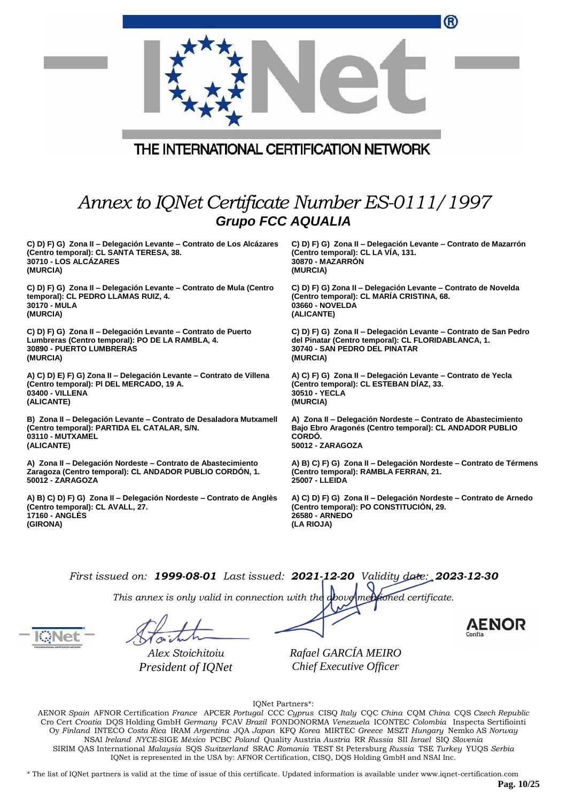|                                                                      | ®                                                                  |  |
|----------------------------------------------------------------------|--------------------------------------------------------------------|--|
| THE INTERNATIONAL CERTIFICATION NETWORK                              |                                                                    |  |
|                                                                      |                                                                    |  |
| Annex to IQNet Certificate Number ES-0111/1997                       |                                                                    |  |
| <b>Grupo FCC AQUALIA</b>                                             |                                                                    |  |
| C) D) F) G) Zona II – Delegación Levante – Contrato de Los Alcázares | C) D) F) G) Zona II - Delegación Levante - Contrato de Mazarrón    |  |
| (Centro temporal): CL SANTA TERESA, 38.                              | (Centro temporal): CL LA VIA, 131.                                 |  |
| 30710 - LOS ALCÁZARES                                                | <b>30870 - MAZARRON</b>                                            |  |
| (MURCIA)                                                             | (MURCIA)                                                           |  |
| C) D) F) G) Zona II – Delegación Levante – Contrato de Mula (Centro  | C) D) F) G) Zona II - Delegación Levante - Contrato de Novelda     |  |
| temporal): CL PEDRO LLAMAS RUIZ, 4.                                  | (Centro temporal): CL MARIA CRISTINA, 68.                          |  |
| 30170 - MULA                                                         | 03660 - NOVELDA                                                    |  |
| (MURCIA)                                                             | (ALICANTE)                                                         |  |
| C) D) F) G) Zona II – Delegación Levante – Contrato de Puerto        | C) D) F) G) Zona II – Delegación Levante – Contrato de San Pedro   |  |
| Lumbreras (Centro temporal): PO DE LA RAMBLA, 4.                     | del Pinatar (Centro temporal): CL FLORIDABLANCA, 1.                |  |
| 30890 - PUERTO LUMBRERAS                                             | 30740 - SAN PEDRO DEL PINATAR                                      |  |
| (MURCIA)                                                             | (MURCIA)                                                           |  |
| A) C) D) E) F) G) Zona II - Delegación Levante - Contrato de Villena | A) C) F) G) Zona II - Delegación Levante - Contrato de Yecla       |  |
| (Centro temporal): PI DEL MERCADO, 19 A.                             | (Centro temporal): CL ESTEBAN DÍAZ, 33.                            |  |
| 03400 - VILLENA                                                      | 30510 - YECLA                                                      |  |
| (ALICANTE)                                                           | (MURCIA)                                                           |  |
| B) Zona II – Delegación Levante – Contrato de Desaladora Mutxamell   | A) Zona II - Delegación Nordeste - Contrato de Abastecimiento      |  |
| (Centro temporal): PARTIDA EL CATALAR, S/N.                          | Bajo Ebro Aragonés (Centro temporal): CL ANDADOR PUBLIO            |  |
| 03110 - MUTXAMEL                                                     | CORDO.                                                             |  |
| (ALICANTE)                                                           | 50012 - ZARAGOZA                                                   |  |
| A) Zona II - Delegación Nordeste - Contrato de Abastecimiento        | A) B) C) F) G) Zona II - Delegación Nordeste - Contrato de Térmens |  |
| Zaragoza (Centro temporal): CL ANDADOR PUBLIO CORDÓN, 1.             | (Centro temporal): RAMBLA FERRAN, 21.                              |  |
| 50012 - ZARAGOZA                                                     | 25007 - LLEIDA                                                     |  |
| A) B) C) D) F) G) Zona II - Delegación Nordeste - Contrato de Anglès | A) C) D) F) G) Zona II - Delegación Nordeste - Contrato de Arnedo  |  |
| (Centro temporal): CL AVALL, 27.                                     | (Centro temporal): PO CONSTITUCIÓN, 29.                            |  |
| <b>17160 - ANGLÈS</b>                                                | 26580 - ARNEDO                                                     |  |
| (GIRONA)                                                             | (LA RIOJA)                                                         |  |

*This annex is only valid in connection with the above-mentioned certificate.*

*Alex Stoichitoiu President of IQNet*

*Rafael GARCÍA MEIRO Chief Executive Officer*

IQNet Partners\*:

AENOR *Spain* AFNOR Certification *France* APCER *Portugal* CCC *Cyprus* CISQ *Italy* CQC *China* CQM *China* CQS *Czech Republic*  Cro Cert *Croatia* DQS Holding GmbH *Germany* FCAV *Brazil* FONDONORMA *Venezuela* ICONTEC *Colombia* Inspecta Sertifiointi Oy *Finland* INTECO *Costa Rica* IRAM *Argentina* JQA *Japan* KFQ *Korea* MIRTEC *Greece* MSZT *Hungary* Nemko AS *Norway*  NSAI *Ireland NYCE-*SIGE *México* PCBC *Poland* Quality Austria *Austria* RR *Russia* SII *Israel* SIQ *Slovenia*  SIRIM QAS International *Malaysia* SQS *Switzerland* SRAC *Romania* TEST St Petersburg *Russia* TSE *Turkey* YUQS *Serbia* IQNet is represented in the USA by: AFNOR Certification, CISQ, DQS Holding GmbH and NSAI Inc.

\* The list of IQNet partners is valid at the time of issue of this certificate. Updated information is available under www.iqnet-certification.com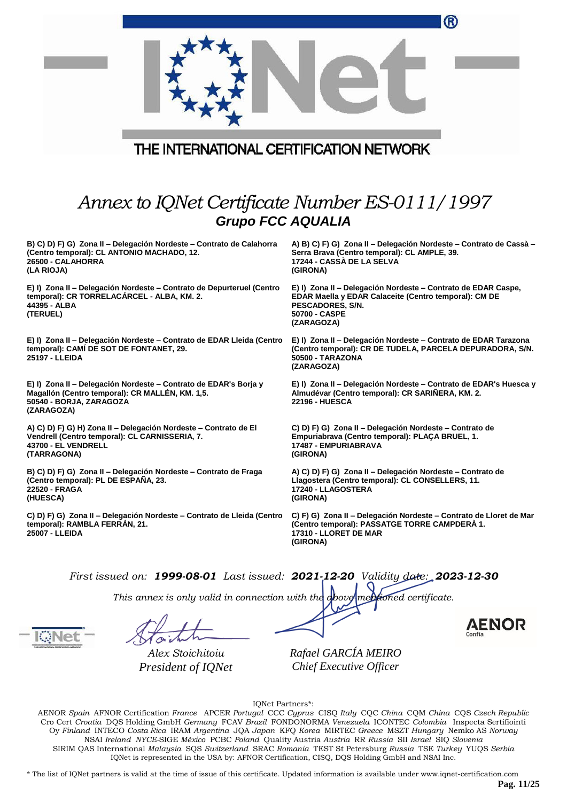|                                                                                                                                                                 | ®                                                                                                                                                                         |
|-----------------------------------------------------------------------------------------------------------------------------------------------------------------|---------------------------------------------------------------------------------------------------------------------------------------------------------------------------|
| THE INTERNATIONAL CERTIFICATION NETWORK                                                                                                                         |                                                                                                                                                                           |
| Annex to IQNet Certificate Number ES-0111/1997                                                                                                                  |                                                                                                                                                                           |
| <b>Grupo FCC AQUALIA</b>                                                                                                                                        |                                                                                                                                                                           |
| B) C) D) F) G) Zona II - Delegación Nordeste - Contrato de Calahorra<br>(Centro temporal): CL ANTONIO MACHADO, 12.<br>26500 - CALAHORRA<br>(LA RIOJA)           | A) B) C) F) G) Zona II - Delegación Nordeste - Contrato de Cassà -<br>Serra Brava (Centro temporal): CL AMPLE, 39.<br>17244 - CASSÀ DE LA SELVA<br>(GIRONA)               |
| E) I) Zona II - Delegación Nordeste - Contrato de Depurteruel (Centro<br>temporal): CR TORRELACARCEL - ALBA, KM. 2.<br>44395 - ALBA<br>(TERUEL)                 | E) I) Zona II - Delegación Nordeste - Contrato de EDAR Caspe,<br>EDAR Maella y EDAR Calaceite (Centro temporal): CM DE<br>PESCADORES, S/N.<br>50700 - CASPE<br>(ZARAGOZA) |
| E) I) Zona II – Delegación Nordeste – Contrato de EDAR Lleida (Centro<br>temporal): CAMI DE SOT DE FONTANET, 29.<br>25197 - LLEIDA                              | E) I) Zona II - Delegación Nordeste - Contrato de EDAR Tarazona<br>(Centro temporal): CR DE TUDELA, PARCELA DEPURADORA, S/N.<br>50500 - TARAZONA<br>(ZARAGOZA)            |
| E) I) Zona II - Delegación Nordeste - Contrato de EDAR's Borja y<br>Magallón (Centro temporal): CR MALLÉN, KM. 1,5.<br>50540 - BORJA, ZARAGOZA<br>(ZARAGOZA)    | E) I) Zona II - Delegación Nordeste - Contrato de EDAR's Huesca y<br>Almudévar (Centro temporal): CR SARIÑERA, KM. 2.<br><b>22196 - HUESCA</b>                            |
| A) C) D) F) G) H) Zona II - Delegación Nordeste - Contrato de El<br>Vendrell (Centro temporal): CL CARNISSERIA, 7.<br><b>43700 - EL VENDRELL</b><br>(TARRAGONA) | C) D) F) G) Zona II - Delegación Nordeste - Contrato de<br>Empuriabrava (Centro temporal): PLAÇA BRUEL, 1.<br>17487 - EMPURIABRAVA<br>(GIRONA)                            |
| B) C) D) F) G) Zona II - Delegación Nordeste - Contrato de Fraga<br>(Centro temporal): PL DE ESPAÑA, 23.<br>22520 - FRAGA<br>(HUESCA)                           | A) C) D) F) G) Zona II – Delegación Nordeste – Contrato de<br>Llagostera (Centro temporal): CL CONSELLERS, 11.<br>17240 - LLAGOSTERA<br>(GIRONA)                          |
| C) D) F) G) Zona II - Delegación Nordeste - Contrato de Lleida (Centro<br>temporal): RAMBLA FERRAN, 21.<br>25007 - LLEIDA                                       | C) F) G) Zona II – Delegación Nordeste – Contrato de Lloret de Mar<br>(Centro temporal): PASSATGE TORRE CAMPDERA 1.<br>17310 - LLORET DE MAR<br>(GIRONA)                  |
| First issued on: 1999-08-01 Last issued: $2021-12-20$ Validity date: $2023-12-30$                                                                               |                                                                                                                                                                           |

*This annex is only valid in connection with the above-mentioned certificate.*

*Alex Stoichitoiu President of IQNet*

*Rafael GARCÍA MEIRO Chief Executive Officer*

IQNet Partners\*:

AENOR *Spain* AFNOR Certification *France* APCER *Portugal* CCC *Cyprus* CISQ *Italy* CQC *China* CQM *China* CQS *Czech Republic*  Cro Cert *Croatia* DQS Holding GmbH *Germany* FCAV *Brazil* FONDONORMA *Venezuela* ICONTEC *Colombia* Inspecta Sertifiointi Oy *Finland* INTECO *Costa Rica* IRAM *Argentina* JQA *Japan* KFQ *Korea* MIRTEC *Greece* MSZT *Hungary* Nemko AS *Norway*  NSAI *Ireland NYCE-*SIGE *México* PCBC *Poland* Quality Austria *Austria* RR *Russia* SII *Israel* SIQ *Slovenia*  SIRIM QAS International *Malaysia* SQS *Switzerland* SRAC *Romania* TEST St Petersburg *Russia* TSE *Turkey* YUQS *Serbia* IQNet is represented in the USA by: AFNOR Certification, CISQ, DQS Holding GmbH and NSAI Inc.

\* The list of IQNet partners is valid at the time of issue of this certificate. Updated information is available under www.iqnet-certification.com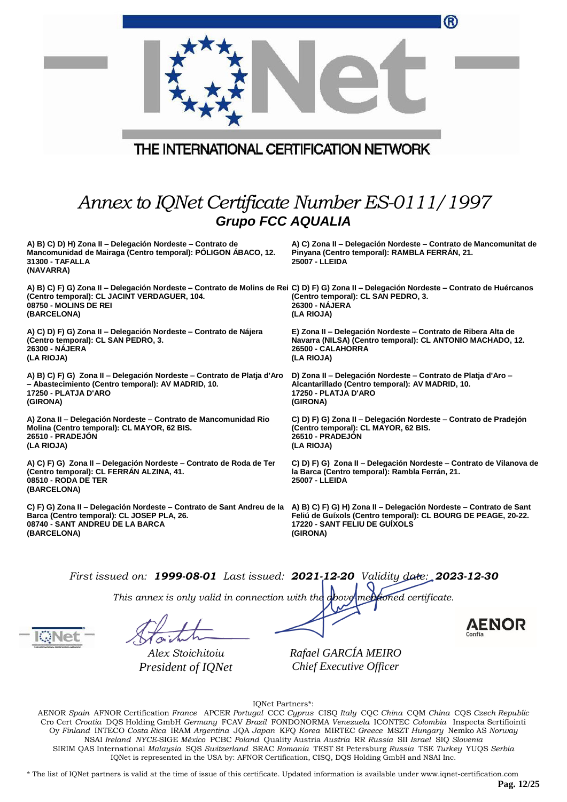|                                                                                                                                                                                                                                           | ®                                                                                                                                                              |
|-------------------------------------------------------------------------------------------------------------------------------------------------------------------------------------------------------------------------------------------|----------------------------------------------------------------------------------------------------------------------------------------------------------------|
| THE INTERNATIONAL CERTIFICATION NETWORK                                                                                                                                                                                                   |                                                                                                                                                                |
|                                                                                                                                                                                                                                           |                                                                                                                                                                |
| Annex to IQNet Certificate Number ES-0111/1997<br><b>Grupo FCC AQUALIA</b>                                                                                                                                                                |                                                                                                                                                                |
| A) B) C) D) H) Zona II - Delegación Nordeste - Contrato de<br>Mancomunidad de Mairaga (Centro temporal): POLIGON ABACO, 12.<br>31300 - TAFALLA<br>(NAVARRA)                                                                               | A) C) Zona II - Delegación Nordeste - Contrato de Mancomunitat de<br>Pinyana (Centro temporal): RAMBLA FERRÁN, 21.<br>25007 - LLEIDA                           |
| A) B) C) F) G) Zona II – Delegación Nordeste – Contrato de Molins de Rei C) D) F) G) Zona II – Delegación Nordeste – Contrato de Huércanos<br>(Centro temporal): CL JACINT VERDAGUER, 104.<br>08750 - MOLINS DE REI<br>(BARCELONA)        | (Centro temporal): CL SAN PEDRO, 3.<br>26300 - NAJERA<br>(LA RIOJA)                                                                                            |
| A) C) D) F) G) Zona II - Delegación Nordeste - Contrato de Nájera<br>(Centro temporal): CL SAN PEDRO, 3.<br>26300 - NÁJERA<br>(LA RIOJA)                                                                                                  | E) Zona II - Delegación Nordeste - Contrato de Ribera Alta de<br>Navarra (NILSA) (Centro temporal): CL ANTONIO MACHADO, 12.<br>26500 - CALAHORRA<br>(LA RIOJA) |
| A) B) C) F) G) Zona II – Delegación Nordeste – Contrato de Platja d'Aro<br>- Abastecimiento (Centro temporal): AV MADRID, 10.<br>17250 - PLATJA D'ARO<br>(GIRONA)                                                                         | D) Zona II - Delegación Nordeste - Contrato de Platja d'Aro -<br>Alcantarillado (Centro temporal): AV MADRID, 10.<br>17250 - PLATJA D'ARO<br>(GIRONA)          |
| A) Zona II - Delegación Nordeste - Contrato de Mancomunidad Rio<br>Molina (Centro temporal): CL MAYOR, 62 BIS.<br>26510 - PRADEJÓN<br>(LA RIOJA)                                                                                          | C) D) F) G) Zona II – Delegación Nordeste – Contrato de Pradejón<br>(Centro temporal): CL MAYOR, 62 BIS.<br>26510 - PRADEJÓN<br>(LA RIOJA)                     |
| A) C) F) G) Zona II - Delegación Nordeste - Contrato de Roda de Ter<br>(Centro temporal): CL FERRÁN ALZINA, 41.<br>08510 - RODA DE TER<br>(BARCELONA)                                                                                     | C) D) F) G) Zona II - Delegación Nordeste - Contrato de Vilanova de<br>la Barca (Centro temporal): Rambla Ferrán, 21.<br>25007 - LLEIDA                        |
| C) F) G) Zona II - Delegación Nordeste - Contrato de Sant Andreu de la A) B) C) F) G) H) Zona II - Delegación Nordeste - Contrato de Sant<br>Barca (Centro temporal): CL JOSEP PLA, 26.<br>08740 - SANT ANDREU DE LA BARCA<br>(BARCELONA) | Feliú de Guíxols (Centro temporal): CL BOURG DE PEAGE, 20-22.<br>17220 - SANT FELIU DE GUIXOLS<br>(GIRONA)                                                     |
| First issued on: 1999-08-01 Last issued: 2021-12-20 Validity date: 2023-12-30                                                                                                                                                             |                                                                                                                                                                |

*This annex is only valid in connection with the above-mentioned certificate.*

*Alex Stoichitoiu President of IQNet* *Rafael GARCÍA MEIRO Chief Executive Officer*

IQNet Partners\*:

AENOR *Spain* AFNOR Certification *France* APCER *Portugal* CCC *Cyprus* CISQ *Italy* CQC *China* CQM *China* CQS *Czech Republic*  Cro Cert *Croatia* DQS Holding GmbH *Germany* FCAV *Brazil* FONDONORMA *Venezuela* ICONTEC *Colombia* Inspecta Sertifiointi Oy *Finland* INTECO *Costa Rica* IRAM *Argentina* JQA *Japan* KFQ *Korea* MIRTEC *Greece* MSZT *Hungary* Nemko AS *Norway*  NSAI *Ireland NYCE-*SIGE *México* PCBC *Poland* Quality Austria *Austria* RR *Russia* SII *Israel* SIQ *Slovenia*  SIRIM QAS International *Malaysia* SQS *Switzerland* SRAC *Romania* TEST St Petersburg *Russia* TSE *Turkey* YUQS *Serbia* IQNet is represented in the USA by: AFNOR Certification, CISQ, DQS Holding GmbH and NSAI Inc.

\* The list of IQNet partners is valid at the time of issue of this certificate. Updated information is available under www.iqnet-certification.com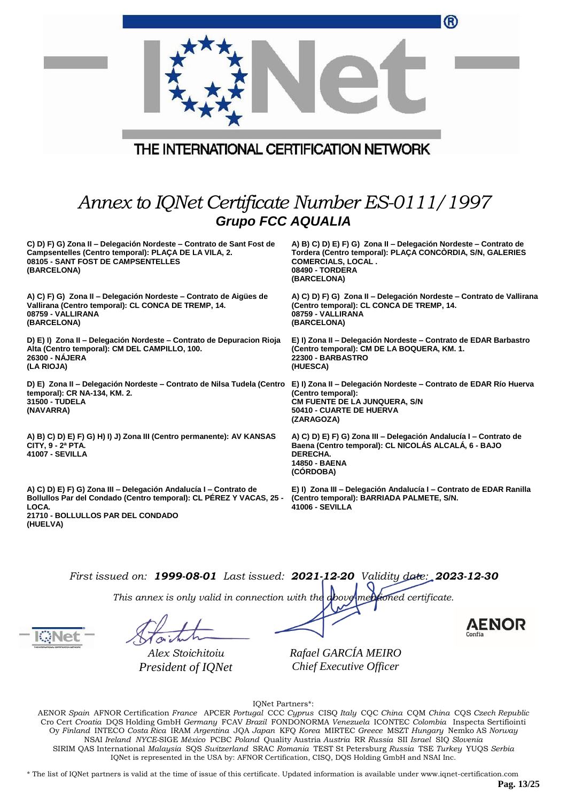|                                                                                                                                                                                                    | ®                                                                                                                                                                                                   |  |
|----------------------------------------------------------------------------------------------------------------------------------------------------------------------------------------------------|-----------------------------------------------------------------------------------------------------------------------------------------------------------------------------------------------------|--|
| THE INTERNATIONAL CERTIFICATION NETWORK                                                                                                                                                            |                                                                                                                                                                                                     |  |
| Annex to IQNet Certificate Number ES-0111/1997                                                                                                                                                     |                                                                                                                                                                                                     |  |
| <b>Grupo FCC AQUALIA</b>                                                                                                                                                                           |                                                                                                                                                                                                     |  |
| C) D) F) G) Zona II - Delegación Nordeste - Contrato de Sant Fost de<br>Campsentelles (Centro temporal): PLAÇA DE LA VILA, 2.<br>08105 - SANT FOST DE CAMPSENTELLES<br>(BARCELONA)                 | A) B) C) D) E) F) G) Zona II - Delegación Nordeste - Contrato de<br>Tordera (Centro temporal): PLAÇA CONCORDIA, S/N, GALERIES<br><b>COMERCIALS, LOCAL.</b><br><b>08490 - TORDERA</b><br>(BARCELONA) |  |
| A) C) F) G) Zona II - Delegación Nordeste - Contrato de Aigües de<br>Vallirana (Centro temporal): CL CONCA DE TREMP, 14.<br>08759 - VALLIRANA<br>(BARCELONA)                                       | A) C) D) F) G) Zona II - Delegación Nordeste - Contrato de Vallirana<br>(Centro temporal): CL CONCA DE TREMP, 14.<br>08759 - VALLIRANA<br>(BARCELONA)                                               |  |
| D) E) I) Zona II - Delegación Nordeste - Contrato de Depuracion Rioja<br>Alta (Centro temporal): CM DEL CAMPILLO, 100.<br>26300 - NÁJERA<br>(LA RIOJA)                                             | E) I) Zona II - Delegación Nordeste - Contrato de EDAR Barbastro<br>(Centro temporal): CM DE LA BOQUERA, KM. 1.<br>22300 - BARBASTRO<br>(HUESCA)                                                    |  |
| D) E) Zona II – Delegación Nordeste – Contrato de Nilsa Tudela (Centro<br>temporal): CR NA-134, KM. 2.<br>31500 - TUDELA<br>(NAVARRA)                                                              | E) I) Zona II - Delegación Nordeste - Contrato de EDAR Río Huerva<br>(Centro temporal):<br>CM FUENTE DE LA JUNQUERA, S/N<br>50410 - CUARTE DE HUERVA<br>(ZARAGOZA)                                  |  |
| A) B) C) D) E) F) G) H) I) J) Zona III (Centro permanente): AV KANSAS<br>CITY, 9 - 2ª PTA.<br><b>41007 - SEVILLA</b>                                                                               | A) C) D) E) F) G) Zona III - Delegación Andalucía I - Contrato de<br>Baena (Centro temporal): CL NICOLÁS ALCALÁ, 6 - BAJO<br>DERECHA.<br>14850 - BAENA<br>(CORDOBA)                                 |  |
| A) C) D) E) F) G) Zona III - Delegación Andalucía I - Contrato de<br>Bollullos Par del Condado (Centro temporal): CL PÉREZ Y VACAS, 25 -<br>LOCA.<br>21710 - BOLLULLOS PAR DEL CONDADO<br>(HUELVA) | E) I) Zona III - Delegación Andalucía I - Contrato de EDAR Ranilla<br>(Centro temporal): BARRIADA PALMETE, S/N.<br><b>41006 - SEVILLA</b>                                                           |  |
|                                                                                                                                                                                                    |                                                                                                                                                                                                     |  |

*This annex is only valid in connection with the above-mentioned certificate.*

*Alex Stoichitoiu President of IQNet* *Rafael GARCÍA MEIRO Chief Executive Officer*

AENOR

IQNet Partners\*:

AENOR *Spain* AFNOR Certification *France* APCER *Portugal* CCC *Cyprus* CISQ *Italy* CQC *China* CQM *China* CQS *Czech Republic*  Cro Cert *Croatia* DQS Holding GmbH *Germany* FCAV *Brazil* FONDONORMA *Venezuela* ICONTEC *Colombia* Inspecta Sertifiointi Oy *Finland* INTECO *Costa Rica* IRAM *Argentina* JQA *Japan* KFQ *Korea* MIRTEC *Greece* MSZT *Hungary* Nemko AS *Norway*  NSAI *Ireland NYCE-*SIGE *México* PCBC *Poland* Quality Austria *Austria* RR *Russia* SII *Israel* SIQ *Slovenia*  SIRIM QAS International *Malaysia* SQS *Switzerland* SRAC *Romania* TEST St Petersburg *Russia* TSE *Turkey* YUQS *Serbia* IQNet is represented in the USA by: AFNOR Certification, CISQ, DQS Holding GmbH and NSAI Inc.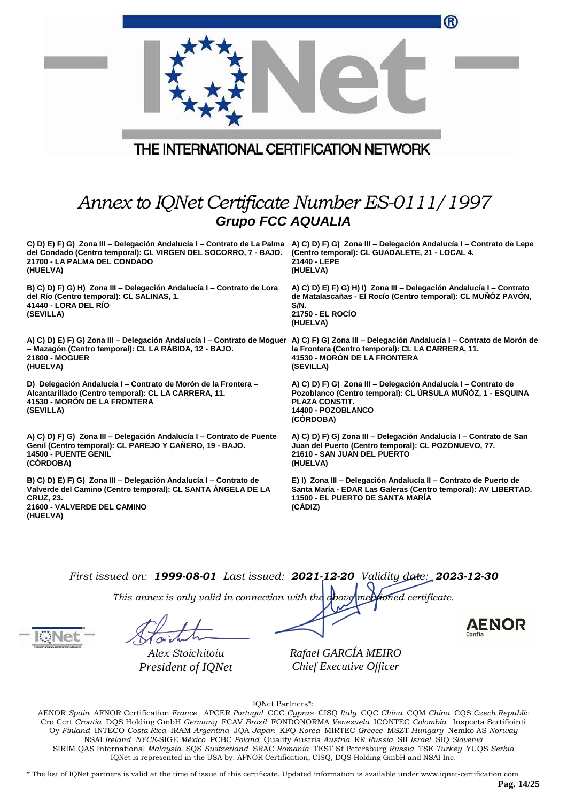|                                                                                                                                                                                                                                                            | ®                                                                                                                                                                                        |  |  |
|------------------------------------------------------------------------------------------------------------------------------------------------------------------------------------------------------------------------------------------------------------|------------------------------------------------------------------------------------------------------------------------------------------------------------------------------------------|--|--|
| THE INTERNATIONAL CERTIFICATION NETWORK                                                                                                                                                                                                                    |                                                                                                                                                                                          |  |  |
|                                                                                                                                                                                                                                                            |                                                                                                                                                                                          |  |  |
| Annex to IQNet Certificate Number ES-0111/1997<br><b>Grupo FCC AQUALIA</b>                                                                                                                                                                                 |                                                                                                                                                                                          |  |  |
| C) D) E) F) G) Zona III – Delegación Andalucía I – Contrato de La Palma A) C) D) F) G) Zona III – Delegación Andalucía I – Contrato de Lepe<br>del Condado (Centro temporal): CL VIRGEN DEL SOCORRO, 7 - BAJO.<br>21700 - LA PALMA DEL CONDADO<br>(HUELVA) | (Centro temporal): CL GUADALETE, 21 - LOCAL 4.<br>21440 - LEPE<br>(HUELVA)                                                                                                               |  |  |
| B) C) D) F) G) H) Zona III - Delegación Andalucía I - Contrato de Lora<br>del Río (Centro temporal): CL SALINAS, 1.<br>41440 - LORA DEL RÍO<br>(SEVILLA)                                                                                                   | A) C) D) E) F) G) H) I) Zona III - Delegación Andalucía I - Contrato<br>de Matalascañas - El Rocío (Centro temporal): CL MUÑÓZ PAVÓN,<br>S/N.<br>21750 - EL ROCIO<br>(HUELVA)            |  |  |
| A) C) D) E) F) G) Zona III – Delegación Andalucía I – Contrato de Moguer A) C) F) G) Zona III – Delegación Andalucía I – Contrato de Morón de<br>- Mazagón (Centro temporal): CL LA RÁBIDA, 12 - BAJO.<br><b>21800 - MOGUER</b><br>(HUELVA)                | la Frontera (Centro temporal): CL LA CARRERA, 11.<br>41530 - MORÓN DE LA FRONTERA<br>(SEVILLA)                                                                                           |  |  |
| D) Delegación Andalucía I - Contrato de Morón de la Frontera -<br>Alcantarillado (Centro temporal): CL LA CARRERA, 11.<br>41530 - MORON DE LA FRONTERA<br>(SEVILLA)                                                                                        | A) C) D) F) G) Zona III – Delegación Andalucía I – Contrato de<br>Pozoblanco (Centro temporal): CL ÚRSULA MUÑÓZ, 1 - ESQUINA<br><b>PLAZA CONSTIT.</b><br>14400 - POZOBLANCO<br>(CÓRDOBA) |  |  |
| A) C) D) F) G) Zona III - Delegación Andalucía I - Contrato de Puente<br>Genil (Centro temporal): CL PAREJO Y CAÑERO, 19 - BAJO.<br>14500 - PUENTE GENIL<br>(CÓRDOBA)                                                                                      | A) C) D) F) G) Zona III - Delegación Andalucía I - Contrato de San<br>Juan del Puerto (Centro temporal): CL POZONUEVO, 77.<br>21610 - SAN JUAN DEL PUERTO<br>(HUELVA)                    |  |  |
| B) C) D) E) F) G) Zona III - Delegación Andalucía I - Contrato de<br>Valverde del Camino (Centro temporal): CL SANTA ÁNGELA DE LA<br><b>CRUZ, 23.</b><br>21600 - VALVERDE DEL CAMINO<br>(HUELVA)                                                           | E) I) Zona III - Delegación Andalucía II - Contrato de Puerto de<br>Santa María - EDAR Las Galeras (Centro temporal): AV LIBERTAD.<br>11500 - EL PUERTO DE SANTA MARÍA<br>(CADIZ)        |  |  |
|                                                                                                                                                                                                                                                            |                                                                                                                                                                                          |  |  |
| First issued on: 1999-08-01 Last issued: 2021-12-20 Validity date: 2023-12-30                                                                                                                                                                              |                                                                                                                                                                                          |  |  |
| This annex is only valid in connection with the above mentioned certificate.                                                                                                                                                                               |                                                                                                                                                                                          |  |  |
|                                                                                                                                                                                                                                                            | <b>AENOR</b>                                                                                                                                                                             |  |  |
| Alex Stoichitoiu<br>President of IQNet                                                                                                                                                                                                                     | Rafael GARCÍA MEIRO<br>Chief Executive Officer                                                                                                                                           |  |  |

IQNet Partners\*:

AENOR *Spain* AFNOR Certification *France* APCER *Portugal* CCC *Cyprus* CISQ *Italy* CQC *China* CQM *China* CQS *Czech Republic*  Cro Cert *Croatia* DQS Holding GmbH *Germany* FCAV *Brazil* FONDONORMA *Venezuela* ICONTEC *Colombia* Inspecta Sertifiointi Oy *Finland* INTECO *Costa Rica* IRAM *Argentina* JQA *Japan* KFQ *Korea* MIRTEC *Greece* MSZT *Hungary* Nemko AS *Norway*  NSAI *Ireland NYCE-*SIGE *México* PCBC *Poland* Quality Austria *Austria* RR *Russia* SII *Israel* SIQ *Slovenia*  SIRIM QAS International *Malaysia* SQS *Switzerland* SRAC *Romania* TEST St Petersburg *Russia* TSE *Turkey* YUQS *Serbia* IQNet is represented in the USA by: AFNOR Certification, CISQ, DQS Holding GmbH and NSAI Inc.

\* The list of IQNet partners is valid at the time of issue of this certificate. Updated information is available under www.iqnet-certification.com

**Pag. 14/25**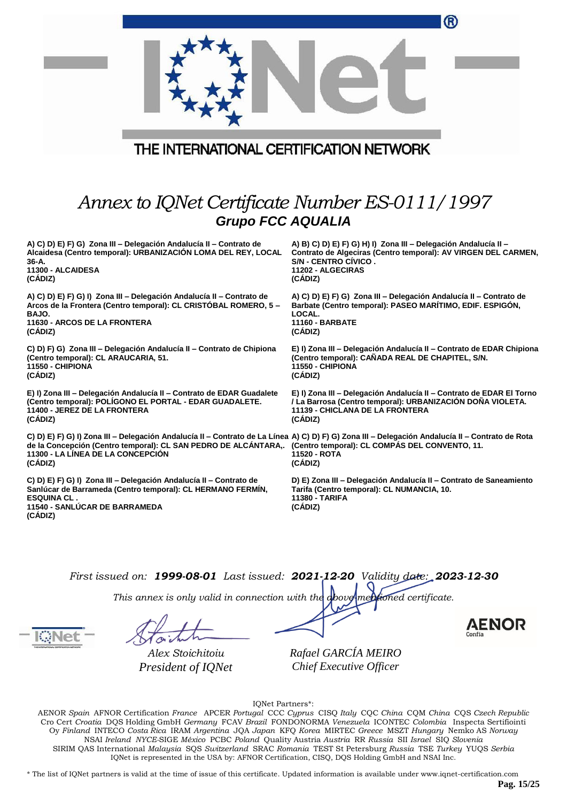|                                                                                                                                                                                                                                                                                                                    | ®                                                                                                                                                                                         |  |
|--------------------------------------------------------------------------------------------------------------------------------------------------------------------------------------------------------------------------------------------------------------------------------------------------------------------|-------------------------------------------------------------------------------------------------------------------------------------------------------------------------------------------|--|
| THE INTERNATIONAL CERTIFICATION NETWORK                                                                                                                                                                                                                                                                            |                                                                                                                                                                                           |  |
| Annex to IQNet Certificate Number ES-0111/1997<br><b>Grupo FCC AQUALIA</b>                                                                                                                                                                                                                                         |                                                                                                                                                                                           |  |
| A) C) D) E) F) G) Zona III - Delegación Andalucía II - Contrato de<br>Alcaidesa (Centro temporal): URBANIZACIÓN LOMA DEL REY, LOCAL<br>36-A.<br>11300 - ALCAIDESA<br>(CÁDIZ)                                                                                                                                       | A) B) C) D) E) F) G) H) I) Zona III - Delegación Andalucía II -<br>Contrato de Algeciras (Centro temporal): AV VIRGEN DEL CARMEN,<br>S/N - CENTRO CÍVICO.<br>11202 - ALGECIRAS<br>(CADIZ) |  |
| A) C) D) E) F) G) I) Zona III - Delegación Andalucía II - Contrato de<br>Arcos de la Frontera (Centro temporal): CL CRISTOBAL ROMERO, 5 –<br>BAJO.<br><b>11630 - ARCOS DE LA FRONTERA</b><br>(CADIZ)                                                                                                               | A) C) D) E) F) G) Zona III - Delegación Andalucía II - Contrato de<br>Barbate (Centro temporal): PASEO MARÍTIMO, EDIF. ESPIGÓN,<br>LOCAL.<br><b>11160 - BARBATE</b><br>(CADIZ)            |  |
| C) D) F) G) Zona III - Delegación Andalucía II - Contrato de Chipiona<br>(Centro temporal): CL ARAUCARIA, 51.<br>11550 - CHIPIONA<br>(CÁDIZ)                                                                                                                                                                       | E) I) Zona III - Delegación Andalucía II - Contrato de EDAR Chipiona<br>(Centro temporal): CAÑADA REAL DE CHAPITEL, S/N.<br>11550 - CHIPIONA<br>(CÁDIZ)                                   |  |
| E) I) Zona III – Delegación Andalucía II – Contrato de EDAR Guadalete<br>(Centro temporal): POLIGONO EL PORTAL - EDAR GUADALETE.<br>11400 - JEREZ DE LA FRONTERA<br>(CÁDIZ)                                                                                                                                        | E) I) Zona III - Delegación Andalucía II - Contrato de EDAR El Torno<br>/ La Barrosa (Centro temporal): URBANIZACIÓN DOÑA VIOLETA.<br>11139 - CHICLANA DE LA FRONTERA<br>(CÁDIZ)          |  |
| C) D) E) F) G) I) Zona III – Delegación Andalucia II – Contrato de La Linea A) C) D) F) G) Zona III – Delegación Andalucia II – Contrato de Rota<br>de la Concepción (Centro temporal): CL SAN PEDRO DE ALCÁNTARA,. (Centro temporal): CL COMPÁS DEL CONVENTO, 11.<br>11300 - LA LÍNEA DE LA CONCEPCIÓN<br>(CÁDIZ) | 11520 - ROTA<br>(CADIZ)                                                                                                                                                                   |  |
| C) D) E) F) G) I) Zona III - Delegación Andalucía II - Contrato de<br>Sanlúcar de Barrameda (Centro temporal): CL HERMANO FERMÍN,<br><b>ESQUINA CL .</b><br>11540 - SANLÚCAR DE BARRAMEDA<br>(CADIZ)                                                                                                               | D) E) Zona III - Delegación Andalucía II - Contrato de Saneamiento<br>Tarifa (Centro temporal): CL NUMANCIA, 10.<br><b>11380 - TARIFA</b><br>(CADIZ)                                      |  |
|                                                                                                                                                                                                                                                                                                                    |                                                                                                                                                                                           |  |

*This annex is only valid in connection with the above-mentioned certificate.*

*Alex Stoichitoiu President of IQNet* *Rafael GARCÍA MEIRO Chief Executive Officer*

AENOR

IQNet Partners\*:

AENOR *Spain* AFNOR Certification *France* APCER *Portugal* CCC *Cyprus* CISQ *Italy* CQC *China* CQM *China* CQS *Czech Republic*  Cro Cert *Croatia* DQS Holding GmbH *Germany* FCAV *Brazil* FONDONORMA *Venezuela* ICONTEC *Colombia* Inspecta Sertifiointi Oy *Finland* INTECO *Costa Rica* IRAM *Argentina* JQA *Japan* KFQ *Korea* MIRTEC *Greece* MSZT *Hungary* Nemko AS *Norway*  NSAI *Ireland NYCE-*SIGE *México* PCBC *Poland* Quality Austria *Austria* RR *Russia* SII *Israel* SIQ *Slovenia*  SIRIM QAS International *Malaysia* SQS *Switzerland* SRAC *Romania* TEST St Petersburg *Russia* TSE *Turkey* YUQS *Serbia* IQNet is represented in the USA by: AFNOR Certification, CISQ, DQS Holding GmbH and NSAI Inc.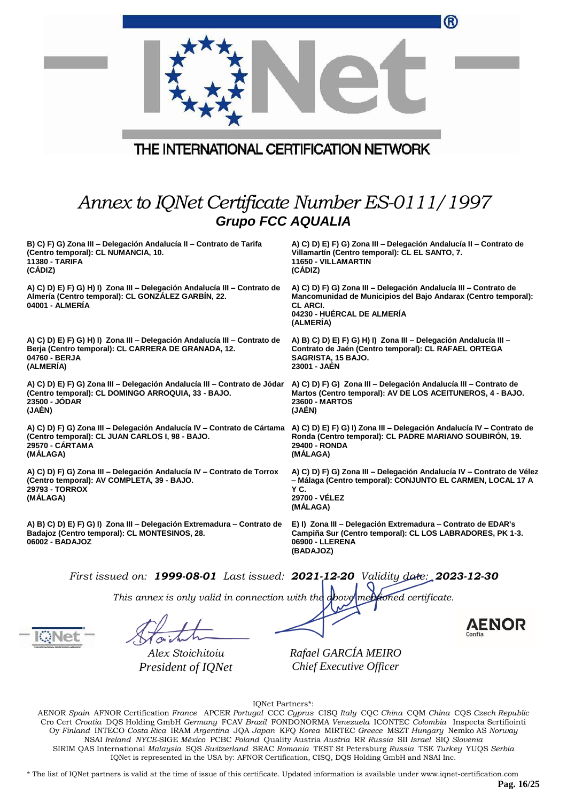|                                                                                                                                                                                                                                 | ®                                                                                                                                                                                                |
|---------------------------------------------------------------------------------------------------------------------------------------------------------------------------------------------------------------------------------|--------------------------------------------------------------------------------------------------------------------------------------------------------------------------------------------------|
| THE INTERNATIONAL CERTIFICATION NETWORK                                                                                                                                                                                         |                                                                                                                                                                                                  |
| Annex to IQNet Certificate Number ES-0111/1997<br><b>Grupo FCC AQUALIA</b>                                                                                                                                                      |                                                                                                                                                                                                  |
| B) C) F) G) Zona III - Delegación Andalucía II - Contrato de Tarifa<br>(Centro temporal): CL NUMANCIA, 10.<br>11380 - TARIFA<br>(CÁDIZ)                                                                                         | A) C) D) E) F) G) Zona III - Delegación Andalucía II - Contrato de<br>Villamartín (Centro temporal): CL EL SANTO, 7.<br>11650 - VILLAMARTIN<br>(CÁDIZ)                                           |
| A) C) D) E) F) G) H) I) Zona III - Delegación Andalucía III - Contrato de<br>Almería (Centro temporal): CL GONZÁLEZ GARBIN, 22.<br>04001 - ALMERÍA                                                                              | A) C) D) F) G) Zona III - Delegación Andalucía III - Contrato de<br>Mancomunidad de Municipios del Bajo Andarax (Centro temporal):<br><b>CL ARCI.</b><br>04230 - HUÉRCAL DE ALMERÍA<br>(ALMERÍA) |
| A) C) D) E) F) G) H) I) Zona III - Delegación Andalucía III - Contrato de<br>Berja (Centro temporal): CL CARRERA DE GRANADA, 12.<br>04760 - BERJA<br>(ALMERIA)                                                                  | A) B) C) D) E) F) G) H) I) Zona III - Delegación Andalucía III -<br>Contrato de Jaén (Centro temporal): CL RAFAEL ORTEGA<br>SAGRISTA, 15 BAJO.<br>23001 - JAEN                                   |
| A) C) D) E) F) G) Zona III - Delegación Andalucía III - Contrato de Jódar<br>(Centro temporal): CL DOMINGO ARROQUIA, 33 - BAJO.<br>23500 - JODAR<br>(JAÉN)                                                                      | A) C) D) F) G) Zona III - Delegación Andalucía III - Contrato de<br>Martos (Centro temporal): AV DE LOS ACEITUNEROS, 4 - BAJO.<br><b>23600 - MARTOS</b><br>(JAÉN)                                |
| A) C) D) F) G) Zona III - Delegación Andalucía IV - Contrato de Cártama A) C) D) E) F) G) I) Zona III - Delegación Andalucía IV - Contrato de<br>(Centro temporal): CL JUAN CARLOS I, 98 - BAJO.<br>29570 - CARTAMA<br>(MÁLAGA) | Ronda (Centro temporal): CL PADRE MARIANO SOUBIRÓN, 19.<br>29400 - RONDA<br>(MÁLAGA)                                                                                                             |
| A) C) D) F) G) Zona III - Delegación Andalucía IV - Contrato de Torrox<br>(Centro temporal): AV COMPLETA, 39 - BAJO.<br>29793 - TORROX<br>(MÁLAGA)                                                                              | A) C) D) F) G) Zona III - Delegación Andalucía IV - Contrato de Vélez<br>- Málaga (Centro temporal): CONJUNTO EL CARMEN, LOCAL 17 A<br>YC.<br>29700 - VELEZ<br>(MÁLAGA)                          |
| A) B) C) D) E) F) G) I) Zona III – Delegación Extremadura – Contrato de<br>Badajoz (Centro temporal): CL MONTESINOS, 28.<br>06002 - BADAJOZ                                                                                     | E) I) Zona III - Delegación Extremadura - Contrato de EDAR's<br>Campiña Sur (Centro temporal): CL LOS LABRADORES, PK 1-3.<br>06900 - LLERENA<br>(BADAJOZ)                                        |
| First issued on: 1999-08-01 Last issued: 2021-12-20 Validity date: 2023-12-30                                                                                                                                                   |                                                                                                                                                                                                  |
| This annex is only valid in connection with the above mentioned certificate.                                                                                                                                                    | <b>AENOR</b>                                                                                                                                                                                     |
|                                                                                                                                                                                                                                 |                                                                                                                                                                                                  |

*Alex Stoichitoiu President of IQNet*

*Rafael GARCÍA MEIRO Chief Executive Officer*

IQNet Partners\*:

AENOR *Spain* AFNOR Certification *France* APCER *Portugal* CCC *Cyprus* CISQ *Italy* CQC *China* CQM *China* CQS *Czech Republic*  Cro Cert *Croatia* DQS Holding GmbH *Germany* FCAV *Brazil* FONDONORMA *Venezuela* ICONTEC *Colombia* Inspecta Sertifiointi Oy *Finland* INTECO *Costa Rica* IRAM *Argentina* JQA *Japan* KFQ *Korea* MIRTEC *Greece* MSZT *Hungary* Nemko AS *Norway*  NSAI *Ireland NYCE-*SIGE *México* PCBC *Poland* Quality Austria *Austria* RR *Russia* SII *Israel* SIQ *Slovenia*  SIRIM QAS International *Malaysia* SQS *Switzerland* SRAC *Romania* TEST St Petersburg *Russia* TSE *Turkey* YUQS *Serbia* IQNet is represented in the USA by: AFNOR Certification, CISQ, DQS Holding GmbH and NSAI Inc.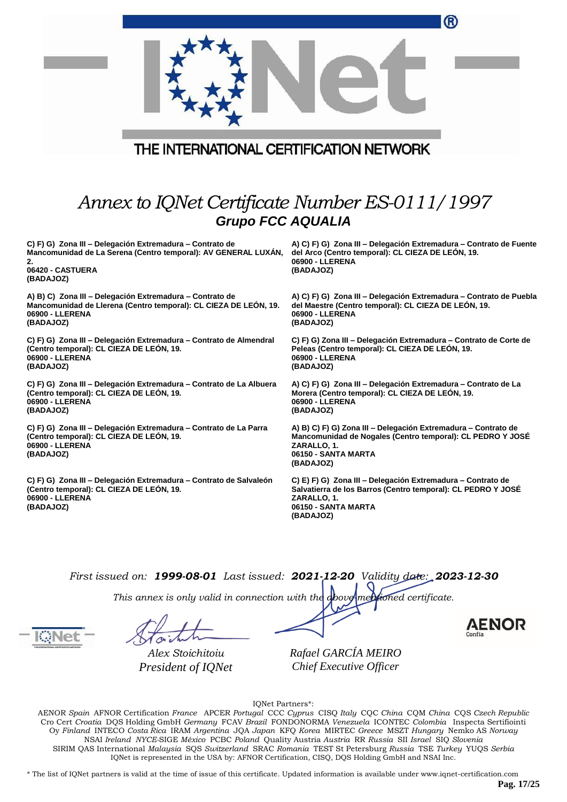|                                                                                                                                                                   | ®                                                                                                                                                                  |
|-------------------------------------------------------------------------------------------------------------------------------------------------------------------|--------------------------------------------------------------------------------------------------------------------------------------------------------------------|
|                                                                                                                                                                   |                                                                                                                                                                    |
| THE INTERNATIONAL CERTIFICATION NETWORK                                                                                                                           |                                                                                                                                                                    |
|                                                                                                                                                                   |                                                                                                                                                                    |
| Annex to IQNet Certificate Number ES-0111/1997                                                                                                                    |                                                                                                                                                                    |
| <b>Grupo FCC AQUALIA</b>                                                                                                                                          |                                                                                                                                                                    |
| C) F) G) Zona III - Delegación Extremadura - Contrato de<br>Mancomunidad de La Serena (Centro temporal): AV GENERAL LUXÁN,<br>2.<br>06420 - CASTUERA<br>(BADAJOZ) | A) C) F) G) Zona III – Delegación Extremadura – Contrato de Fuente<br>del Arco (Centro temporal): CL CIEZA DE LEÓN, 19.<br>06900 - LLERENA<br>(BADAJOZ)            |
| A) B) C) Zona III – Delegación Extremadura – Contrato de<br>Mancomunidad de Llerena (Centro temporal): CL CIEZA DE LEÓN, 19.<br>06900 - LLERENA<br>(BADAJOZ)      | A) C) F) G) Zona III – Delegación Extremadura – Contrato de Puebla<br>del Maestre (Centro temporal): CL CIEZA DE LEÓN, 19.<br>06900 - LLERENA<br>(BADAJOZ)         |
| C) F) G) Zona III - Delegación Extremadura - Contrato de Almendral<br>(Centro temporal): CL CIEZA DE LEON, 19.<br>06900 - LLERENA<br>(BADAJOZ)                    | C) F) G) Zona III – Delegación Extremadura – Contrato de Corte de<br>Peleas (Centro temporal): CL CIEZA DE LEÓN, 19.<br>06900 - LLERENA<br>(BADAJOZ)               |
| C) F) G) Zona III – Delegación Extremadura – Contrato de La Albuera<br>(Centro temporal): CL CIEZA DE LEÓN, 19.<br>06900 - LLERENA<br>(BADAJOZ)                   | A) C) F) G) Zona III – Delegación Extremadura – Contrato de La<br>Morera (Centro temporal): CL CIEZA DE LEON, 19.<br>06900 - LLERENA<br>(BADAJOZ)                  |
| C) F) G) Zona III - Delegación Extremadura - Contrato de La Parra<br>(Centro temporal): CL CIEZA DE LEÓN, 19.<br>06900 - LLERENA<br>(BADAJOZ)                     | A) B) C) F) G) Zona III - Delegación Extremadura - Contrato de<br>Mancomunidad de Nogales (Centro temporal): CL PEDRO Y JOSE<br>ZARALLO, 1.<br>06150 - SANTA MARTA |

**C) F) G) Zona III – Delegación Extremadura – Contrato de Salvaleón (Centro temporal): CL CIEZA DE LEÓN, 19. 06900 - LLERENA (BADAJOZ)**

**C) E) F) G) Zona III – Delegación Extremadura – Contrato de Salvatierra de los Barros (Centro temporal): CL PEDRO Y JOSÉ ZARALLO, 1. 06150 - SANTA MARTA (BADAJOZ)**

*First issued on: 1999-08-01 Last issued: 2021-12-20 Validity date: 2023-12-30*

**(BADAJOZ)**

*This annex is only valid in connection with the above-mentioned certificate.*

*Alex Stoichitoiu President of IQNet*

*Rafael GARCÍA MEIRO Chief Executive Officer*

AENOR

IQNet Partners\*:

AENOR *Spain* AFNOR Certification *France* APCER *Portugal* CCC *Cyprus* CISQ *Italy* CQC *China* CQM *China* CQS *Czech Republic*  Cro Cert *Croatia* DQS Holding GmbH *Germany* FCAV *Brazil* FONDONORMA *Venezuela* ICONTEC *Colombia* Inspecta Sertifiointi Oy *Finland* INTECO *Costa Rica* IRAM *Argentina* JQA *Japan* KFQ *Korea* MIRTEC *Greece* MSZT *Hungary* Nemko AS *Norway*  NSAI *Ireland NYCE-*SIGE *México* PCBC *Poland* Quality Austria *Austria* RR *Russia* SII *Israel* SIQ *Slovenia*  SIRIM QAS International *Malaysia* SQS *Switzerland* SRAC *Romania* TEST St Petersburg *Russia* TSE *Turkey* YUQS *Serbia* IQNet is represented in the USA by: AFNOR Certification, CISQ, DQS Holding GmbH and NSAI Inc.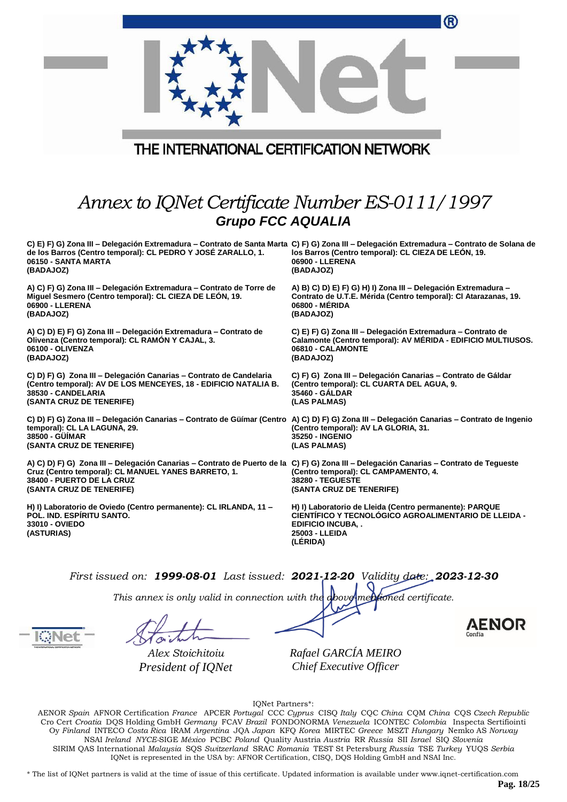|                                                                                                                                                                                                                                                         | ®                                                                                                                                                                        |
|---------------------------------------------------------------------------------------------------------------------------------------------------------------------------------------------------------------------------------------------------------|--------------------------------------------------------------------------------------------------------------------------------------------------------------------------|
|                                                                                                                                                                                                                                                         |                                                                                                                                                                          |
| THE INTERNATIONAL CERTIFICATION NETWORK                                                                                                                                                                                                                 |                                                                                                                                                                          |
| Annex to IQNet Certificate Number ES-0111/1997<br><b>Grupo FCC AQUALIA</b>                                                                                                                                                                              |                                                                                                                                                                          |
| C) E) F) G) Zona III – Delegación Extremadura – Contrato de Santa Marta C) F) G) Zona III – Delegación Extremadura – Contrato de Solana de<br>de los Barros (Centro temporal): CL PEDRO Y JOSÉ ZARALLO, 1.<br>06150 - SANTA MARTA<br>(BADAJOZ)          | los Barros (Centro temporal): CL CIEZA DE LEÓN, 19.<br>06900 - LLERENA<br>(BADAJOZ)                                                                                      |
| A) C) F) G) Zona III - Delegación Extremadura - Contrato de Torre de<br>Miguel Sesmero (Centro temporal): CL CIEZA DE LEON, 19.<br>06900 - LLERENA<br>(BADAJOZ)                                                                                         | A) B) C) D) E) F) G) H) I) Zona III - Delegación Extremadura -<br>Contrato de U.T.E. Mérida (Centro temporal): Cl Atarazanas, 19.<br>06800 - MERIDA<br>(BADAJOZ)         |
| A) C) D) E) F) G) Zona III - Delegación Extremadura - Contrato de<br>Olivenza (Centro temporal): CL RAMON Y CAJAL, 3.<br>06100 - OLIVENZA<br>(BADAJOZ)                                                                                                  | C) E) F) G) Zona III - Delegación Extremadura - Contrato de<br>Calamonte (Centro temporal): AV MERIDA - EDIFICIO MULTIUSOS.<br>06810 - CALAMONTE<br>(BADAJOZ)            |
| C) D) F) G) Zona III - Delegación Canarias - Contrato de Candelaria<br>(Centro temporal): AV DE LOS MENCEYES, 18 - EDIFICIO NATALIA B.<br>38530 - CANDELARIA<br>(SANTA CRUZ DE TENERIFE)                                                                | C) F) G) Zona III - Delegación Canarias - Contrato de Gáldar<br>(Centro temporal): CL CUARTA DEL AGUA, 9.<br>35460 - GALDAR<br>(LAS PALMAS)                              |
| C) D) F) G) Zona III – Delegación Canarias – Contrato de Güímar (Centro A) C) D) F) G) Zona III – Delegación Canarias – Contrato de Ingenio<br>temporal): CL LA LAGUNA, 29.<br>38500 - GÜÍMAR<br>(SANTA CRUZ DE TENERIFE)                               | (Centro temporal): AV LA GLORIA, 31.<br><b>35250 - INGENIO</b><br>(LAS PALMAS)                                                                                           |
| A) C) D) F) G) Zona III - Delegación Canarias - Contrato de Puerto de la C) F) G) Zona III - Delegación Canarias - Contrato de Tegueste<br>Cruz (Centro temporal): CL MANUEL YANES BARRETO, 1.<br>38400 - PUERTO DE LA CRUZ<br>(SANTA CRUZ DE TENERIFE) | (Centro temporal): CL CAMPAMENTO, 4.<br><b>38280 - TEGUESTE</b><br>(SANTA CRUZ DE TENERIFE)                                                                              |
| H) I) Laboratorio de Oviedo (Centro permanente): CL IRLANDA, 11 -<br><b>POL. IND. ESPIRITU SANTO.</b><br>33010 - OVIEDO<br>(ASTURIAS)                                                                                                                   | H) I) Laboratorio de Lleida (Centro permanente): PARQUE<br>CIENTÍFICO Y TECNOLÓGICO AGROALIMENTARIO DE LLEIDA -<br><b>EDIFICIO INCUBA,</b><br>25003 - LLEIDA<br>(LERIDA) |
| First issued on: 1999-08-01 Last issued: 2021-12-20 Validity date: 2023-12-30                                                                                                                                                                           |                                                                                                                                                                          |

*This annex is only valid in connection with the above-mentioned certificate.*

*Alex Stoichitoiu President of IQNet* *Rafael GARCÍA MEIRO Chief Executive Officer*

IQNet Partners\*:

AENOR *Spain* AFNOR Certification *France* APCER *Portugal* CCC *Cyprus* CISQ *Italy* CQC *China* CQM *China* CQS *Czech Republic*  Cro Cert *Croatia* DQS Holding GmbH *Germany* FCAV *Brazil* FONDONORMA *Venezuela* ICONTEC *Colombia* Inspecta Sertifiointi Oy *Finland* INTECO *Costa Rica* IRAM *Argentina* JQA *Japan* KFQ *Korea* MIRTEC *Greece* MSZT *Hungary* Nemko AS *Norway*  NSAI *Ireland NYCE-*SIGE *México* PCBC *Poland* Quality Austria *Austria* RR *Russia* SII *Israel* SIQ *Slovenia*  SIRIM QAS International *Malaysia* SQS *Switzerland* SRAC *Romania* TEST St Petersburg *Russia* TSE *Turkey* YUQS *Serbia* IQNet is represented in the USA by: AFNOR Certification, CISQ, DQS Holding GmbH and NSAI Inc.

\* The list of IQNet partners is valid at the time of issue of this certificate. Updated information is available under www.iqnet-certification.com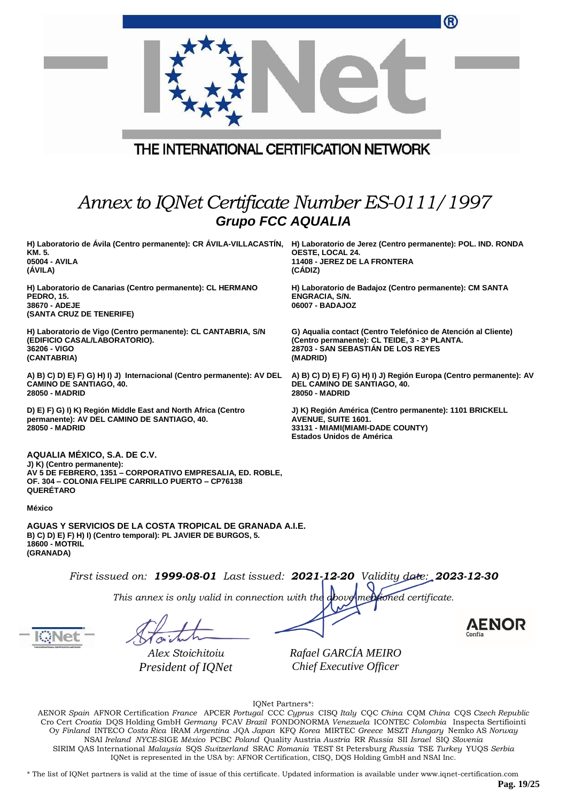|                                                                                                                                                                                                    | ®                                                                                                                                                                |
|----------------------------------------------------------------------------------------------------------------------------------------------------------------------------------------------------|------------------------------------------------------------------------------------------------------------------------------------------------------------------|
|                                                                                                                                                                                                    |                                                                                                                                                                  |
| THE INTERNATIONAL CERTIFICATION NETWORK                                                                                                                                                            |                                                                                                                                                                  |
| Annex to IQNet Certificate Number ES-0111/1997<br><b>Grupo FCC AQUALIA</b>                                                                                                                         |                                                                                                                                                                  |
| H) Laboratorio de Ávila (Centro permanente): CR ÁVILA-VILLACASTÍN, H) Laboratorio de Jerez (Centro permanente): POL. IND. RONDA<br>KM. 5.<br>05004 - AVILA<br>(AVILA)                              | OESTE, LOCAL 24.<br>11408 - JEREZ DE LA FRONTERA<br>(CÁDIZ)                                                                                                      |
| H) Laboratorio de Canarias (Centro permanente): CL HERMANO<br>PEDRO, 15.<br>38670 - ADEJE<br>(SANTA CRUZ DE TENERIFE)                                                                              | H) Laboratorio de Badajoz (Centro permanente): CM SANTA<br><b>ENGRACIA, S/N.</b><br>06007 - BADAJOZ                                                              |
| H) Laboratorio de Vigo (Centro permanente): CL CANTABRIA, S/N<br>(EDIFICIO CASAL/LABORATORIO).<br>36206 - VIGO<br>(CANTABRIA)                                                                      | G) Aqualia contact (Centro Telefónico de Atención al Cliente)<br>(Centro permanente): CL TEIDE, 3 - 3ª PLANTA.<br>28703 - SAN SEBASTIAN DE LOS REYES<br>(MADRID) |
| A) B) C) D) E) F) G) H) I) J) Internacional (Centro permanente): AV DEL<br><b>CAMINO DE SANTIAGO, 40.</b><br>28050 - MADRID                                                                        | A) B) C) D) E) F) G) H) I) J) Región Europa (Centro permanente): AV<br>DEL CAMINO DE SANTIAGO, 40.<br>28050 - MADRID                                             |
| D) E) F) G) I) K) Región Middle East and North Africa (Centro<br>permanente): AV DEL CAMINO DE SANTIAGO, 40.<br>28050 - MADRID                                                                     | J) K) Región América (Centro permanente): 1101 BRICKELL<br><b>AVENUE, SUITE 1601.</b><br>33131 - MIAMI(MIAMI-DADE COUNTY)<br><b>Estados Unidos de América</b>    |
| AQUALIA MÉXICO, S.A. DE C.V.<br>J) K) (Centro permanente):<br>AV 5 DE FEBRERO, 1351 - CORPORATIVO EMPRESALIA, ED. ROBLE,<br>OF. 304 - COLONIA FELIPE CARRILLO PUERTO - CP76138<br><b>QUERETARO</b> |                                                                                                                                                                  |
| <b>México</b>                                                                                                                                                                                      |                                                                                                                                                                  |
| AGUAS Y SERVICIOS DE LA COSTA TROPICAL DE GRANADA A.I.E.<br>B) C) D) E) F) H) I) (Centro temporal): PL JAVIER DE BURGOS, 5.                                                                        |                                                                                                                                                                  |

**18600 - MOTRIL (GRANADA)**

*First issued on: 1999-08-01 Last issued: 2021-12-20 Validity date: 2023-12-30*

*This annex is only valid in connection with the above-mentioned certificate.*

*Alex Stoichitoiu President of IQNet* *Rafael GARCÍA MEIRO Chief Executive Officer*

IQNet Partners\*:

AENOR *Spain* AFNOR Certification *France* APCER *Portugal* CCC *Cyprus* CISQ *Italy* CQC *China* CQM *China* CQS *Czech Republic*  Cro Cert *Croatia* DQS Holding GmbH *Germany* FCAV *Brazil* FONDONORMA *Venezuela* ICONTEC *Colombia* Inspecta Sertifiointi Oy *Finland* INTECO *Costa Rica* IRAM *Argentina* JQA *Japan* KFQ *Korea* MIRTEC *Greece* MSZT *Hungary* Nemko AS *Norway*  NSAI *Ireland NYCE-*SIGE *México* PCBC *Poland* Quality Austria *Austria* RR *Russia* SII *Israel* SIQ *Slovenia*  SIRIM QAS International *Malaysia* SQS *Switzerland* SRAC *Romania* TEST St Petersburg *Russia* TSE *Turkey* YUQS *Serbia* IQNet is represented in the USA by: AFNOR Certification, CISQ, DQS Holding GmbH and NSAI Inc.

\* The list of IQNet partners is valid at the time of issue of this certificate. Updated information is available under www.iqnet-certification.com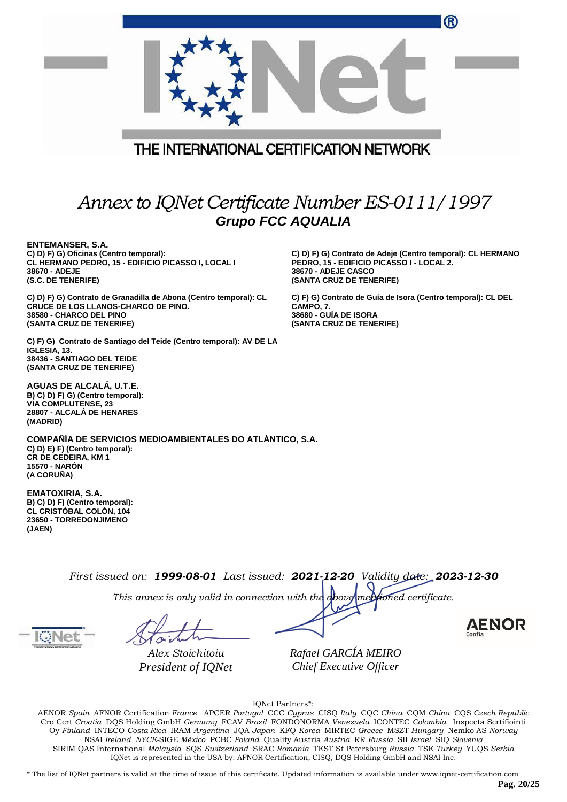|                                                                                                                                                                        | ®                                                                                                                                                                  |
|------------------------------------------------------------------------------------------------------------------------------------------------------------------------|--------------------------------------------------------------------------------------------------------------------------------------------------------------------|
| THE INTERNATIONAL CERTIFICATION NETWORK                                                                                                                                |                                                                                                                                                                    |
|                                                                                                                                                                        |                                                                                                                                                                    |
| Annex to IQNet Certificate Number ES-0111/1997<br><b>Grupo FCC AQUALIA</b>                                                                                             |                                                                                                                                                                    |
| <b>ENTEMANSER, S.A.</b><br>C) D) F) G) Oficinas (Centro temporal):<br>CL HERMANO PEDRO, 15 - EDIFICIO PICASSO I, LOCAL I<br>38670 - ADEJE<br>(S.C. DE TENERIFE)        | C) D) F) G) Contrato de Adeje (Centro temporal): CL HERMANO<br>PEDRO, 15 - EDIFICIO PICASSO I - LOCAL 2.<br><b>38670 - ADEJE CASCO</b><br>(SANTA CRUZ DE TENERIFE) |
| C) D) F) G) Contrato de Granadilla de Abona (Centro temporal): CL<br><b>CRUCE DE LOS LLANOS-CHARCO DE PINO.</b><br>38580 - CHARCO DEL PINO<br>(SANTA CRUZ DE TENERIFE) | C) F) G) Contrato de Guía de Isora (Centro temporal): CL DEL<br>CAMPO, 7.<br><b>38680 - GUIA DE ISORA</b><br>(SANTA CRUZ DE TENERIFE)                              |
| C) F) G) Contrato de Santiago del Teide (Centro temporal): AV DE LA<br>IGLESIA, 13.<br>38436 - SANTIAGO DEL TEIDE<br>(SANTA CRUZ DE TENERIFE)                          |                                                                                                                                                                    |
| AGUAS DE ALCALÁ, U.T.E.<br>B) C) D) F) G) (Centro temporal):<br><b>VIA COMPLUTENSE, 23</b><br>28807 - ALCALA DE HENARES<br>(MADRID)                                    |                                                                                                                                                                    |
| COMPAÑÍA DE SERVICIOS MEDIOAMBIENTALES DO ATLÁNTICO, S.A.<br>C) D) E) F) (Centro temporal):<br><b>CR DE CEDEIRA, KM 1</b><br><b>15570 - NARÓN</b><br>(A CORUÑA)        |                                                                                                                                                                    |
| <b>EMATOXIRIA, S.A.</b><br>B) C) D) F) (Centro temporal):<br><b>CL CRISTOBAL COLON, 104</b><br>23650 - TORREDONJIMENO<br>(JAEN)                                        |                                                                                                                                                                    |
| First issued on: 1999-08-01 Last issued: 2021-12-20 Validity date: 2023-12-30                                                                                          |                                                                                                                                                                    |
| This annex is only valid in connection with the above mentioned certificate.                                                                                           | AEN                                                                                                                                                                |
| Alex Stoichitoiu<br>President of IQNet                                                                                                                                 | Rafael GARCÍA MEIRO<br>Chief Executive Officer                                                                                                                     |

IQNet Partners\*:

AENOR *Spain* AFNOR Certification *France* APCER *Portugal* CCC *Cyprus* CISQ *Italy* CQC *China* CQM *China* CQS *Czech Republic*  Cro Cert *Croatia* DQS Holding GmbH *Germany* FCAV *Brazil* FONDONORMA *Venezuela* ICONTEC *Colombia* Inspecta Sertifiointi Oy *Finland* INTECO *Costa Rica* IRAM *Argentina* JQA *Japan* KFQ *Korea* MIRTEC *Greece* MSZT *Hungary* Nemko AS *Norway*  NSAI *Ireland NYCE-*SIGE *México* PCBC *Poland* Quality Austria *Austria* RR *Russia* SII *Israel* SIQ *Slovenia*  SIRIM QAS International *Malaysia* SQS *Switzerland* SRAC *Romania* TEST St Petersburg *Russia* TSE *Turkey* YUQS *Serbia* IQNet is represented in the USA by: AFNOR Certification, CISQ, DQS Holding GmbH and NSAI Inc.

\* The list of IQNet partners is valid at the time of issue of this certificate. Updated information is available under www.iqnet-certification.com

**Pag. 20/25**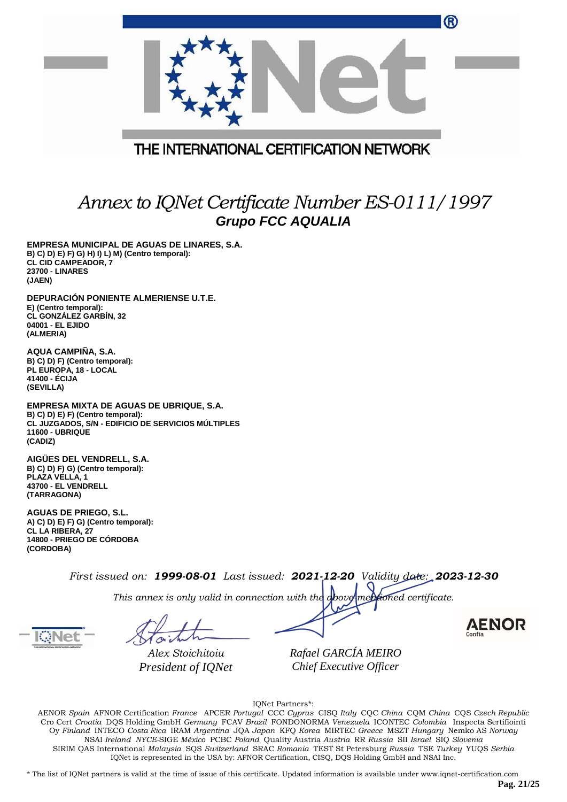| W                                                                          |
|----------------------------------------------------------------------------|
|                                                                            |
| THE INTERNATIONAL CERTIFICATION NETWORK                                    |
| Annex to IQNet Certificate Number ES-0111/1997<br><b>Grupo FCC AQUALIA</b> |

**EMPRESA MUNICIPAL DE AGUAS DE LINARES, S.A. B) C) D) E) F) G) H) I) L) M) (Centro temporal): CL CID CAMPEADOR, 7 23700 - LINARES (JAEN)**

**DEPURACIÓN PONIENTE ALMERIENSE U.T.E. E) (Centro temporal): CL GONZÁLEZ GARBÍN, 32 04001 - EL EJIDO (ALMERIA)**

**AQUA CAMPIÑA, S.A. B) C) D) F) (Centro temporal): PL EUROPA, 18 - LOCAL 41400 - ÉCIJA (SEVILLA)**

**EMPRESA MIXTA DE AGUAS DE UBRIQUE, S.A. B) C) D) E) F) (Centro temporal): CL JUZGADOS, S/N - EDIFICIO DE SERVICIOS MÚLTIPLES 11600 - UBRIQUE (CADIZ)**

**AIGÜES DEL VENDRELL, S.A. B) C) D) F) G) (Centro temporal): PLAZA VELLA, 1 43700 - EL VENDRELL (TARRAGONA)**

**AGUAS DE PRIEGO, S.L. A) C) D) E) F) G) (Centro temporal): CL LA RIBERA, 27 14800 - PRIEGO DE CÓRDOBA (CORDOBA)**

*First issued on: 1999-08-01 Last issued: 2021-12-20 Validity date: 2023-12-30*

*This annex is only valid in connection with the above-mentioned certificate.*

*Alex Stoichitoiu President of IQNet*

*Rafael GARCÍA MEIRO Chief Executive Officer*

AENOR

 $\sim$ 

IQNet Partners\*:

AENOR *Spain* AFNOR Certification *France* APCER *Portugal* CCC *Cyprus* CISQ *Italy* CQC *China* CQM *China* CQS *Czech Republic*  Cro Cert *Croatia* DQS Holding GmbH *Germany* FCAV *Brazil* FONDONORMA *Venezuela* ICONTEC *Colombia* Inspecta Sertifiointi Oy *Finland* INTECO *Costa Rica* IRAM *Argentina* JQA *Japan* KFQ *Korea* MIRTEC *Greece* MSZT *Hungary* Nemko AS *Norway*  NSAI *Ireland NYCE-*SIGE *México* PCBC *Poland* Quality Austria *Austria* RR *Russia* SII *Israel* SIQ *Slovenia*  SIRIM QAS International *Malaysia* SQS *Switzerland* SRAC *Romania* TEST St Petersburg *Russia* TSE *Turkey* YUQS *Serbia* IQNet is represented in the USA by: AFNOR Certification, CISQ, DQS Holding GmbH and NSAI Inc.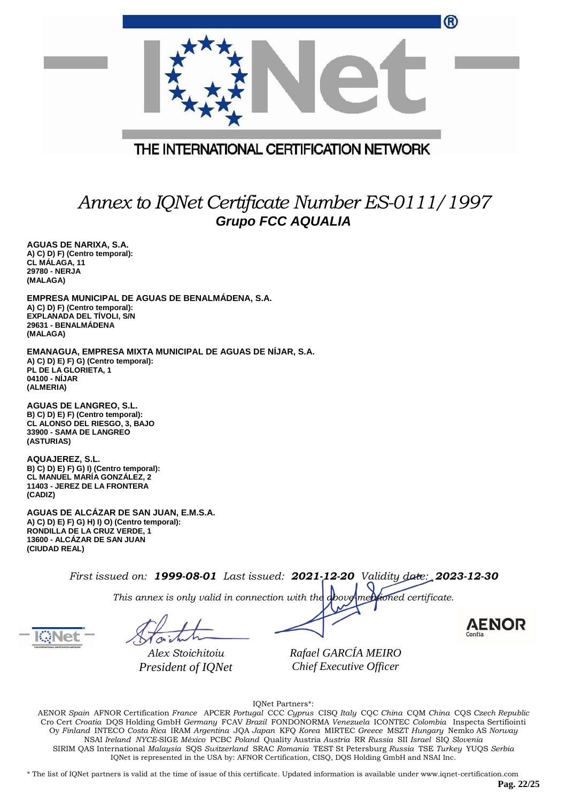| ®                                                                                                                                                                       |
|-------------------------------------------------------------------------------------------------------------------------------------------------------------------------|
|                                                                                                                                                                         |
| THE INTERNATIONAL CERTIFICATION NETWORK                                                                                                                                 |
| Annex to IQNet Certificate Number ES-0111/1997<br><b>Grupo FCC AQUALIA</b>                                                                                              |
| AGUAS DE NARIXA, S.A.<br>A) C) D) F) (Centro temporal):<br>CL MÁLAGA, 11<br>29780 - NERJA<br>(MALAGA)                                                                   |
| EMPRESA MUNICIPAL DE AGUAS DE BENALMÁDENA, S.A.<br>A) C) D) F) (Centro temporal):<br>EXPLANADA DEL TIVOLI, S/N<br>29631 - BENALMADENA<br>(MALAGA)                       |
| EMANAGUA, EMPRESA MIXTA MUNICIPAL DE AGUAS DE NÍJAR, S.A.<br>A) C) D) E) F) G) (Centro temporal):<br>PL DE LA GLORIETA, 1<br>04100 - NIJAR<br>(ALMERIA)                 |
| <b>AGUAS DE LANGREO, S.L.</b><br>B) C) D) E) F) (Centro temporal):<br>CL ALONSO DEL RIESGO, 3, BAJO<br>33900 - SAMA DE LANGREO<br>(ASTURIAS)                            |
| AQUAJEREZ, S.L.<br>B) C) D) E) F) G) I) (Centro temporal):<br>CL MANUEL MARÍA GONZÁLEZ, 2<br>11403 - JEREZ DE LA FRONTERA<br>(CADIZ)                                    |
| AGUAS DE ALCÁZAR DE SAN JUAN, E.M.S.A.<br>A) C) D) E) F) G) H) I) O) (Centro temporal):<br>RONDILLA DE LA CRUZ VERDE, 1<br>13600 - ALCÁZAR DE SAN JUAN<br>(CIUDAD REAL) |

*This annex is only valid in connection with the above-mentioned certificate.*

*Alex Stoichitoiu President of IQNet*

*Rafael GARCÍA MEIRO Chief Executive Officer*

AENOR

IQNet Partners\*:

AENOR *Spain* AFNOR Certification *France* APCER *Portugal* CCC *Cyprus* CISQ *Italy* CQC *China* CQM *China* CQS *Czech Republic*  Cro Cert *Croatia* DQS Holding GmbH *Germany* FCAV *Brazil* FONDONORMA *Venezuela* ICONTEC *Colombia* Inspecta Sertifiointi Oy *Finland* INTECO *Costa Rica* IRAM *Argentina* JQA *Japan* KFQ *Korea* MIRTEC *Greece* MSZT *Hungary* Nemko AS *Norway*  NSAI *Ireland NYCE-*SIGE *México* PCBC *Poland* Quality Austria *Austria* RR *Russia* SII *Israel* SIQ *Slovenia*  SIRIM QAS International *Malaysia* SQS *Switzerland* SRAC *Romania* TEST St Petersburg *Russia* TSE *Turkey* YUQS *Serbia* IQNet is represented in the USA by: AFNOR Certification, CISQ, DQS Holding GmbH and NSAI Inc.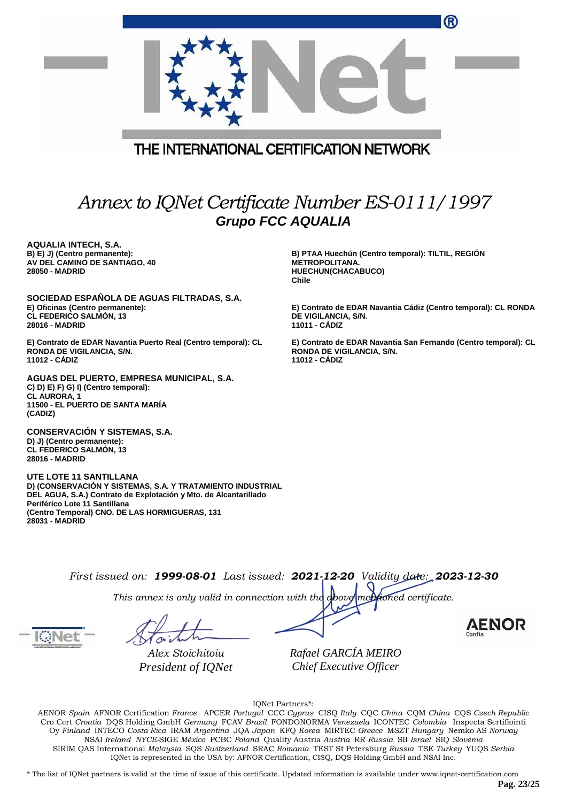|                                                                                                                                                                                                                                                    | ®                                                                                                             |
|----------------------------------------------------------------------------------------------------------------------------------------------------------------------------------------------------------------------------------------------------|---------------------------------------------------------------------------------------------------------------|
|                                                                                                                                                                                                                                                    |                                                                                                               |
| THE INTERNATIONAL CERTIFICATION NETWORK                                                                                                                                                                                                            |                                                                                                               |
|                                                                                                                                                                                                                                                    |                                                                                                               |
| <b>Grupo FCC AQUALIA</b>                                                                                                                                                                                                                           | Annex to IQNet Certificate Number ES-0111/1997                                                                |
| <b>AQUALIA INTECH, S.A.</b><br>B) E) J) (Centro permanente):<br>AV DEL CAMINO DE SANTIAGO, 40<br>28050 - MADRID                                                                                                                                    | B) PTAA Huechún (Centro temporal): TILTIL, REGIÓN<br><b>METROPOLITANA.</b><br>HUECHUN(CHACABUCO)              |
|                                                                                                                                                                                                                                                    | Chile                                                                                                         |
| SOCIEDAD ESPAÑOLA DE AGUAS FILTRADAS, S.A.<br>E) Oficinas (Centro permanente):<br>CL FEDERICO SALMÓN, 13<br>28016 - MADRID                                                                                                                         | E) Contrato de EDAR Navantia Cádiz (Centro temporal): CL RONDA<br>DE VIGILANCIA, S/N.<br>11011 - CÁDIZ        |
| E) Contrato de EDAR Navantia Puerto Real (Centro temporal): CL<br>RONDA DE VIGILANCIA, S/N.<br>11012 - CADIZ                                                                                                                                       | E) Contrato de EDAR Navantia San Fernando (Centro temporal): CL<br>RONDA DE VIGILANCIA, S/N.<br>11012 - CADIZ |
| AGUAS DEL PUERTO, EMPRESA MUNICIPAL, S.A.<br>C) D) E) F) G) I) (Centro temporal):<br>CL AURORA, 1<br>11500 - EL PUERTO DE SANTA MARÍA<br>(CADIZ)                                                                                                   |                                                                                                               |
| <b>CONSERVACIÓN Y SISTEMAS, S.A.</b><br>D) J) (Centro permanente):<br><b>CL FEDERICO SALMÓN, 13</b><br>28016 - MADRID                                                                                                                              |                                                                                                               |
| <b>UTE LOTE 11 SANTILLANA</b><br>D) (CONSERVACIÓN Y SISTEMAS, S.A. Y TRATAMIENTO INDUSTRIAL<br>DEL AGUA, S.A.) Contrato de Explotación y Mto. de Alcantarillado<br>Periférico Lote 11 Santillana<br>(Centro Temporal) CNO. DE LAS HORMIGUERAS, 131 |                                                                                                               |

*This annex is only valid in connection with the above-mentioned certificate.*

**28031 - MADRID**

*Alex Stoichitoiu President of IQNet* *Rafael GARCÍA MEIRO Chief Executive Officer*

IQNet Partners\*:

AENOR *Spain* AFNOR Certification *France* APCER *Portugal* CCC *Cyprus* CISQ *Italy* CQC *China* CQM *China* CQS *Czech Republic*  Cro Cert *Croatia* DQS Holding GmbH *Germany* FCAV *Brazil* FONDONORMA *Venezuela* ICONTEC *Colombia* Inspecta Sertifiointi Oy *Finland* INTECO *Costa Rica* IRAM *Argentina* JQA *Japan* KFQ *Korea* MIRTEC *Greece* MSZT *Hungary* Nemko AS *Norway*  NSAI *Ireland NYCE-*SIGE *México* PCBC *Poland* Quality Austria *Austria* RR *Russia* SII *Israel* SIQ *Slovenia*  SIRIM QAS International *Malaysia* SQS *Switzerland* SRAC *Romania* TEST St Petersburg *Russia* TSE *Turkey* YUQS *Serbia* IQNet is represented in the USA by: AFNOR Certification, CISQ, DQS Holding GmbH and NSAI Inc.

\* The list of IQNet partners is valid at the time of issue of this certificate. Updated information is available under www.iqnet-certification.com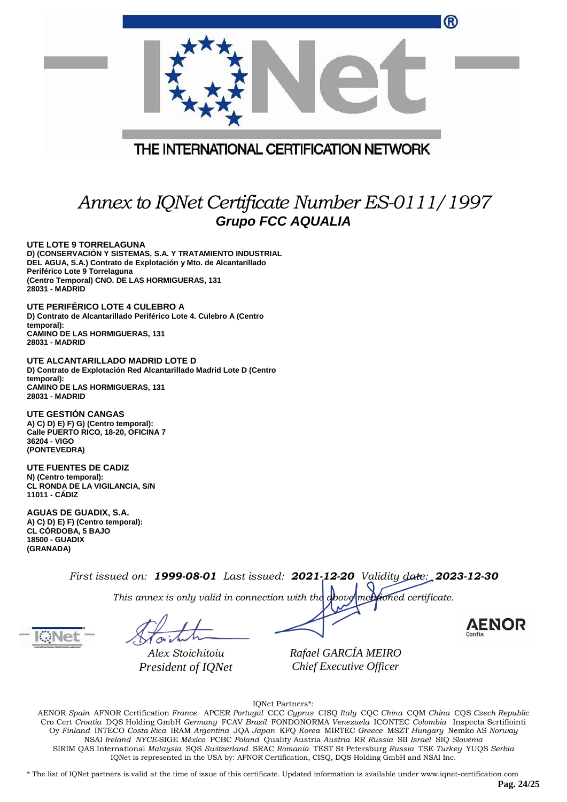| ®                                                                                                                                                                                                                                                             |  |  |
|---------------------------------------------------------------------------------------------------------------------------------------------------------------------------------------------------------------------------------------------------------------|--|--|
|                                                                                                                                                                                                                                                               |  |  |
| THE INTERNATIONAL CERTIFICATION NETWORK                                                                                                                                                                                                                       |  |  |
|                                                                                                                                                                                                                                                               |  |  |
| Annex to IQNet Certificate Number ES-0111/1997<br><b>Grupo FCC AQUALIA</b>                                                                                                                                                                                    |  |  |
| UTE LOTE 9 TORRELAGUNA<br>D) (CONSERVACIÓN Y SISTEMAS, S.A. Y TRATAMIENTO INDUSTRIAL<br>DEL AGUA, S.A.) Contrato de Explotación y Mto. de Alcantarillado<br>Periférico Lote 9 Torrelaguna<br>(Centro Temporal) CNO. DE LAS HORMIGUERAS, 131<br>28031 - MADRID |  |  |
| UTE PERIFÉRICO LOTE 4 CULEBRO A<br>D) Contrato de Alcantarillado Periférico Lote 4. Culebro A (Centro<br>temporal):<br><b>CAMINO DE LAS HORMIGUERAS, 131</b><br><b>28031 - MADRID</b>                                                                         |  |  |
| UTE ALCANTARILLADO MADRID LOTE D<br>D) Contrato de Explotación Red Alcantarillado Madrid Lote D (Centro<br>temporal):<br><b>CAMINO DE LAS HORMIGUERAS, 131</b><br>28031 - MADRID                                                                              |  |  |
| <b>UTE GESTION CANGAS</b><br>A) C) D) E) F) G) (Centro temporal):<br>Calle PUERTO RICO, 18-20, OFICINA 7<br>36204 - VIGO<br>(PONTEVEDRA)                                                                                                                      |  |  |
| <b>UTE FUENTES DE CADIZ</b><br>N) (Centro temporal):                                                                                                                                                                                                          |  |  |

**AGUAS DE GUADIX, S.A. A) C) D) E) F) (Centro temporal): CL CÓRDOBA, 5 BAJO 18500 - GUADIX (GRANADA)**

**CL RONDA DE LA VIGILANCIA, S/N**

*First issued on: 1999-08-01 Last issued: 2021-12-20 Validity date: 2023-12-30*

*This annex is only valid in connection with the above-mentioned certificate.*

**11011 - CÁDIZ**

*Alex Stoichitoiu President of IQNet*

*Rafael GARCÍA MEIRO Chief Executive Officer*

**AENOR** 

IQNet Partners\*:

AENOR *Spain* AFNOR Certification *France* APCER *Portugal* CCC *Cyprus* CISQ *Italy* CQC *China* CQM *China* CQS *Czech Republic*  Cro Cert *Croatia* DQS Holding GmbH *Germany* FCAV *Brazil* FONDONORMA *Venezuela* ICONTEC *Colombia* Inspecta Sertifiointi Oy *Finland* INTECO *Costa Rica* IRAM *Argentina* JQA *Japan* KFQ *Korea* MIRTEC *Greece* MSZT *Hungary* Nemko AS *Norway*  NSAI *Ireland NYCE-*SIGE *México* PCBC *Poland* Quality Austria *Austria* RR *Russia* SII *Israel* SIQ *Slovenia*  SIRIM QAS International *Malaysia* SQS *Switzerland* SRAC *Romania* TEST St Petersburg *Russia* TSE *Turkey* YUQS *Serbia* IQNet is represented in the USA by: AFNOR Certification, CISQ, DQS Holding GmbH and NSAI Inc.